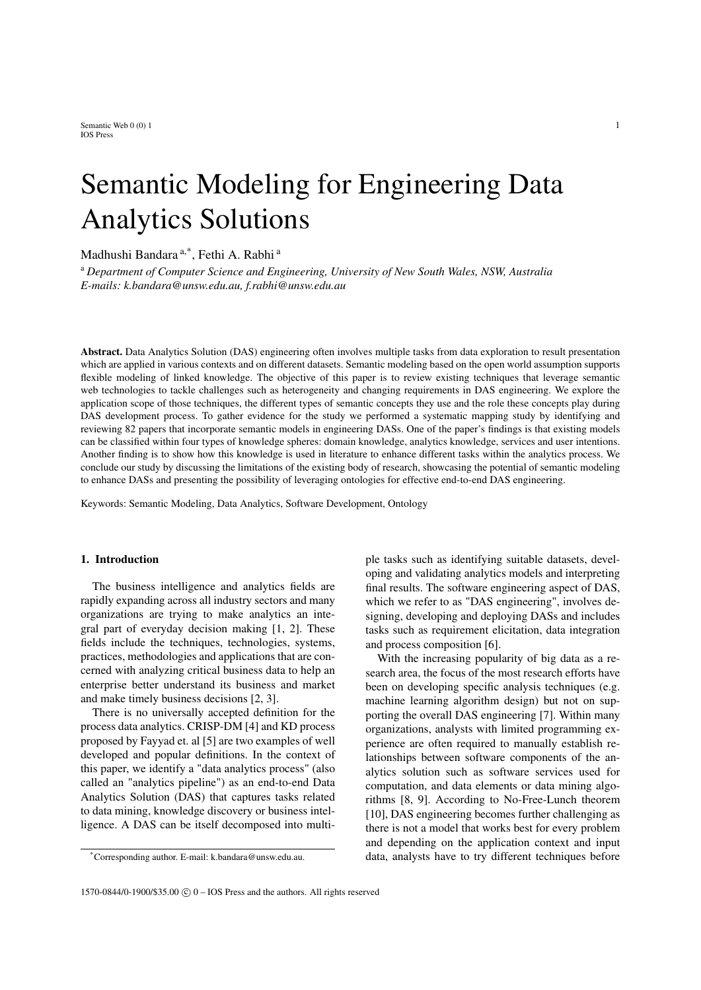Semantic Web  $0(0)$  1 1 IOS Press

# Semantic Modeling for Engineering Data Analytics Solutions

Madhushi Bandara<sup>[a,](#page-0-0)[\\*](#page-0-1)</sup>, Fethi A. R[a](#page-0-0)bhi<sup>a</sup>

<span id="page-0-0"></span><sup>a</sup> *Department of Computer Science and Engineering, University of New South Wales, NSW, Australia E-mails: [k.bandara@unsw.edu.au,](mailto:k.bandara@unsw.edu.au) [f.rabhi@unsw.edu.au](mailto:f.rabhi@unsw.edu.au)*

Abstract. Data Analytics Solution (DAS) engineering often involves multiple tasks from data exploration to result presentation which are applied in various contexts and on different datasets. Semantic modeling based on the open world assumption supports flexible modeling of linked knowledge. The objective of this paper is to review existing techniques that leverage semantic web technologies to tackle challenges such as heterogeneity and changing requirements in DAS engineering. We explore the application scope of those techniques, the different types of semantic concepts they use and the role these concepts play during DAS development process. To gather evidence for the study we performed a systematic mapping study by identifying and reviewing 82 papers that incorporate semantic models in engineering DASs. One of the paper's findings is that existing models can be classified within four types of knowledge spheres: domain knowledge, analytics knowledge, services and user intentions. Another finding is to show how this knowledge is used in literature to enhance different tasks within the analytics process. We conclude our study by discussing the limitations of the existing body of research, showcasing the potential of semantic modeling to enhance DASs and presenting the possibility of leveraging ontologies for effective end-to-end DAS engineering.

Keywords: Semantic Modeling, Data Analytics, Software Development, Ontology

## 1. Introduction

The business intelligence and analytics fields are rapidly expanding across all industry sectors and many organizations are trying to make analytics an integral part of everyday decision making [\[1,](#page-20-0) [2\]](#page-20-1). These fields include the techniques, technologies, systems, practices, methodologies and applications that are concerned with analyzing critical business data to help an enterprise better understand its business and market and make timely business decisions [\[2,](#page-20-1) [3\]](#page-20-2).

There is no universally accepted definition for the process data analytics. CRISP-DM [\[4\]](#page-20-3) and KD process proposed by Fayyad et. al [\[5\]](#page-20-4) are two examples of well developed and popular definitions. In the context of this paper, we identify a "data analytics process" (also called an "analytics pipeline") as an end-to-end Data Analytics Solution (DAS) that captures tasks related to data mining, knowledge discovery or business intelligence. A DAS can be itself decomposed into multiple tasks such as identifying suitable datasets, developing and validating analytics models and interpreting final results. The software engineering aspect of DAS, which we refer to as "DAS engineering", involves designing, developing and deploying DASs and includes tasks such as requirement elicitation, data integration and process composition [\[6\]](#page-20-5).

With the increasing popularity of big data as a research area, the focus of the most research efforts have been on developing specific analysis techniques (e.g. machine learning algorithm design) but not on supporting the overall DAS engineering [\[7\]](#page-20-6). Within many organizations, analysts with limited programming experience are often required to manually establish relationships between software components of the analytics solution such as software services used for computation, and data elements or data mining algorithms [\[8,](#page-20-7) [9\]](#page-20-8). According to No-Free-Lunch theorem [\[10\]](#page-20-9), DAS engineering becomes further challenging as there is not a model that works best for every problem and depending on the application context and input data, analysts have to try different techniques before

<span id="page-0-1"></span><sup>\*</sup>Corresponding author. E-mail: [k.bandara@unsw.edu.au.](mailto:k.bandara@unsw.edu.au)

<sup>1570-0844/0-1900/\$35.00</sup>  $\odot$  0 – IOS Press and the authors. All rights reserved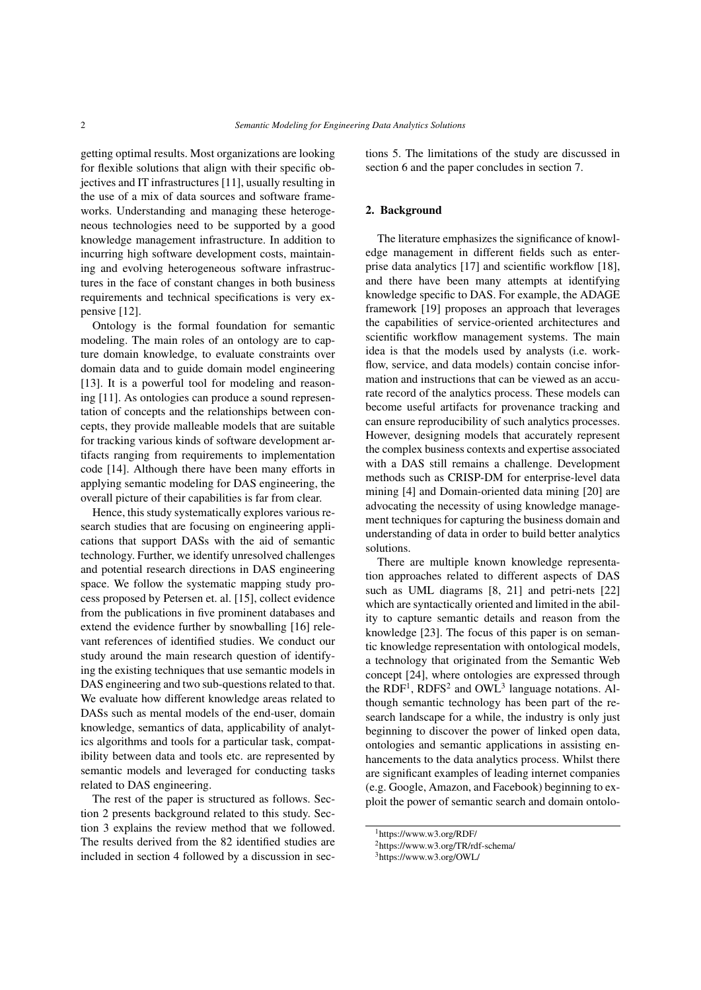getting optimal results. Most organizations are looking for flexible solutions that align with their specific objectives and IT infrastructures [\[11\]](#page-20-10), usually resulting in the use of a mix of data sources and software frameworks. Understanding and managing these heterogeneous technologies need to be supported by a good knowledge management infrastructure. In addition to incurring high software development costs, maintaining and evolving heterogeneous software infrastructures in the face of constant changes in both business requirements and technical specifications is very expensive [\[12\]](#page-20-11).

Ontology is the formal foundation for semantic modeling. The main roles of an ontology are to capture domain knowledge, to evaluate constraints over domain data and to guide domain model engineering [\[13\]](#page-20-12). It is a powerful tool for modeling and reasoning [\[11\]](#page-20-10). As ontologies can produce a sound representation of concepts and the relationships between concepts, they provide malleable models that are suitable for tracking various kinds of software development artifacts ranging from requirements to implementation code [\[14\]](#page-20-13). Although there have been many efforts in applying semantic modeling for DAS engineering, the overall picture of their capabilities is far from clear.

Hence, this study systematically explores various research studies that are focusing on engineering applications that support DASs with the aid of semantic technology. Further, we identify unresolved challenges and potential research directions in DAS engineering space. We follow the systematic mapping study process proposed by Petersen et. al. [\[15\]](#page-20-14), collect evidence from the publications in five prominent databases and extend the evidence further by snowballing [\[16\]](#page-20-15) relevant references of identified studies. We conduct our study around the main research question of identifying the existing techniques that use semantic models in DAS engineering and two sub-questions related to that. We evaluate how different knowledge areas related to DASs such as mental models of the end-user, domain knowledge, semantics of data, applicability of analytics algorithms and tools for a particular task, compatibility between data and tools etc. are represented by semantic models and leveraged for conducting tasks related to DAS engineering.

The rest of the paper is structured as follows. Section 2 presents background related to this study. Section 3 explains the review method that we followed. The results derived from the 82 identified studies are included in section 4 followed by a discussion in sections 5. The limitations of the study are discussed in section 6 and the paper concludes in section 7.

## 2. Background

The literature emphasizes the significance of knowledge management in different fields such as enterprise data analytics [\[17\]](#page-20-16) and scientific workflow [\[18\]](#page-20-17), and there have been many attempts at identifying knowledge specific to DAS. For example, the ADAGE framework [\[19\]](#page-20-18) proposes an approach that leverages the capabilities of service-oriented architectures and scientific workflow management systems. The main idea is that the models used by analysts (i.e. workflow, service, and data models) contain concise information and instructions that can be viewed as an accurate record of the analytics process. These models can become useful artifacts for provenance tracking and can ensure reproducibility of such analytics processes. However, designing models that accurately represent the complex business contexts and expertise associated with a DAS still remains a challenge. Development methods such as CRISP-DM for enterprise-level data mining [\[4\]](#page-20-3) and Domain-oriented data mining [\[20\]](#page-20-19) are advocating the necessity of using knowledge management techniques for capturing the business domain and understanding of data in order to build better analytics solutions.

There are multiple known knowledge representation approaches related to different aspects of DAS such as UML diagrams [\[8,](#page-20-7) [21\]](#page-20-20) and petri-nets [\[22\]](#page-20-21) which are syntactically oriented and limited in the ability to capture semantic details and reason from the knowledge [\[23\]](#page-20-22). The focus of this paper is on semantic knowledge representation with ontological models, a technology that originated from the Semantic Web concept [\[24\]](#page-20-23), where ontologies are expressed through the RDF<sup>[1](#page-1-0)</sup>, RDFS<sup>[2](#page-1-1)</sup> and OWL<sup>[3](#page-1-2)</sup> language notations. Although semantic technology has been part of the research landscape for a while, the industry is only just beginning to discover the power of linked open data, ontologies and semantic applications in assisting enhancements to the data analytics process. Whilst there are significant examples of leading internet companies (e.g. Google, Amazon, and Facebook) beginning to exploit the power of semantic search and domain ontolo-

<span id="page-1-0"></span><sup>1</sup>https://www.w3.org/RDF/

<span id="page-1-1"></span><sup>2</sup>https://www.w3.org/TR/rdf-schema/

<span id="page-1-2"></span><sup>3</sup>https://www.w3.org/OWL/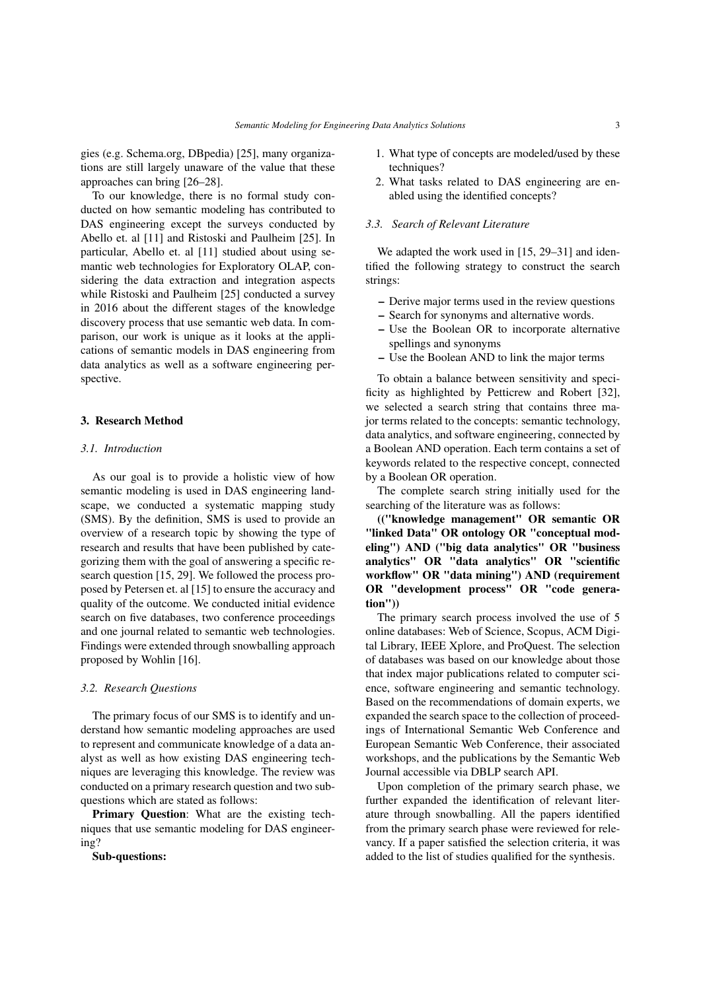gies (e.g. Schema.org, DBpedia) [\[25\]](#page-20-24), many organizations are still largely unaware of the value that these approaches can bring [\[26–](#page-20-25)[28\]](#page-20-26).

To our knowledge, there is no formal study conducted on how semantic modeling has contributed to DAS engineering except the surveys conducted by Abello et. al [\[11\]](#page-20-10) and Ristoski and Paulheim [\[25\]](#page-20-24). In particular, Abello et. al [\[11\]](#page-20-10) studied about using semantic web technologies for Exploratory OLAP, considering the data extraction and integration aspects while Ristoski and Paulheim [\[25\]](#page-20-24) conducted a survey in 2016 about the different stages of the knowledge discovery process that use semantic web data. In comparison, our work is unique as it looks at the applications of semantic models in DAS engineering from data analytics as well as a software engineering perspective.

## 3. Research Method

#### *3.1. Introduction*

As our goal is to provide a holistic view of how semantic modeling is used in DAS engineering landscape, we conducted a systematic mapping study (SMS). By the definition, SMS is used to provide an overview of a research topic by showing the type of research and results that have been published by categorizing them with the goal of answering a specific research question [\[15,](#page-20-14) [29\]](#page-20-27). We followed the process proposed by Petersen et. al [\[15\]](#page-20-14) to ensure the accuracy and quality of the outcome. We conducted initial evidence search on five databases, two conference proceedings and one journal related to semantic web technologies. Findings were extended through snowballing approach proposed by Wohlin [\[16\]](#page-20-15).

#### *3.2. Research Questions*

The primary focus of our SMS is to identify and understand how semantic modeling approaches are used to represent and communicate knowledge of a data analyst as well as how existing DAS engineering techniques are leveraging this knowledge. The review was conducted on a primary research question and two subquestions which are stated as follows:

Primary Question: What are the existing techniques that use semantic modeling for DAS engineering?

Sub-questions:

- 1. What type of concepts are modeled/used by these techniques?
- 2. What tasks related to DAS engineering are enabled using the identified concepts?

#### *3.3. Search of Relevant Literature*

We adapted the work used in [\[15,](#page-20-14) [29](#page-20-27)[–31\]](#page-20-28) and identified the following strategy to construct the search strings:

- Derive major terms used in the review questions
- Search for synonyms and alternative words.
- Use the Boolean OR to incorporate alternative spellings and synonyms
- Use the Boolean AND to link the major terms

To obtain a balance between sensitivity and specificity as highlighted by Petticrew and Robert [\[32\]](#page-20-29), we selected a search string that contains three major terms related to the concepts: semantic technology, data analytics, and software engineering, connected by a Boolean AND operation. Each term contains a set of keywords related to the respective concept, connected by a Boolean OR operation.

The complete search string initially used for the searching of the literature was as follows:

(("knowledge management" OR semantic OR "linked Data" OR ontology OR "conceptual modeling") AND ("big data analytics" OR "business analytics" OR "data analytics" OR "scientific workflow" OR "data mining") AND (requirement OR "development process" OR "code generation"))

The primary search process involved the use of 5 online databases: Web of Science, Scopus, ACM Digital Library, IEEE Xplore, and ProQuest. The selection of databases was based on our knowledge about those that index major publications related to computer science, software engineering and semantic technology. Based on the recommendations of domain experts, we expanded the search space to the collection of proceedings of International Semantic Web Conference and European Semantic Web Conference, their associated workshops, and the publications by the Semantic Web Journal accessible via DBLP search API.

Upon completion of the primary search phase, we further expanded the identification of relevant literature through snowballing. All the papers identified from the primary search phase were reviewed for relevancy. If a paper satisfied the selection criteria, it was added to the list of studies qualified for the synthesis.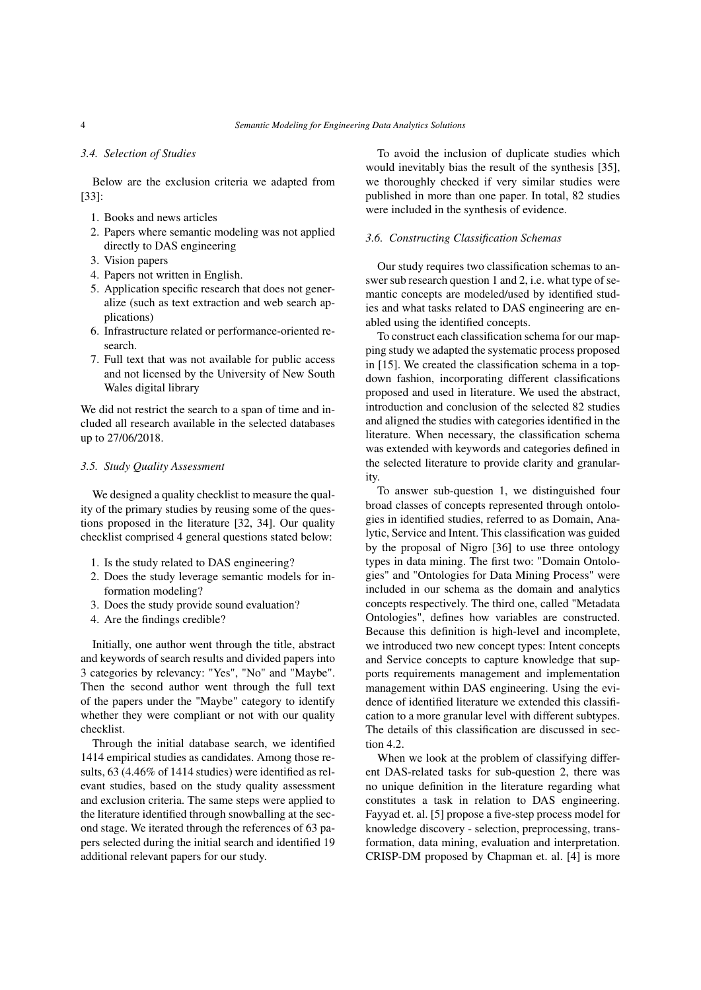#### *3.4. Selection of Studies*

Below are the exclusion criteria we adapted from [\[33\]](#page-20-30):

- 1. Books and news articles
- 2. Papers where semantic modeling was not applied directly to DAS engineering
- 3. Vision papers
- 4. Papers not written in English.
- 5. Application specific research that does not generalize (such as text extraction and web search applications)
- 6. Infrastructure related or performance-oriented research.
- 7. Full text that was not available for public access and not licensed by the University of New South Wales digital library

We did not restrict the search to a span of time and included all research available in the selected databases up to 27/06/2018.

## *3.5. Study Quality Assessment*

We designed a quality checklist to measure the quality of the primary studies by reusing some of the questions proposed in the literature [\[32,](#page-20-29) [34\]](#page-20-31). Our quality checklist comprised 4 general questions stated below:

- 1. Is the study related to DAS engineering?
- 2. Does the study leverage semantic models for information modeling?
- 3. Does the study provide sound evaluation?
- 4. Are the findings credible?

Initially, one author went through the title, abstract and keywords of search results and divided papers into 3 categories by relevancy: "Yes", "No" and "Maybe". Then the second author went through the full text of the papers under the "Maybe" category to identify whether they were compliant or not with our quality checklist.

Through the initial database search, we identified 1414 empirical studies as candidates. Among those results, 63 (4.46% of 1414 studies) were identified as relevant studies, based on the study quality assessment and exclusion criteria. The same steps were applied to the literature identified through snowballing at the second stage. We iterated through the references of 63 papers selected during the initial search and identified 19 additional relevant papers for our study.

To avoid the inclusion of duplicate studies which would inevitably bias the result of the synthesis [\[35\]](#page-20-32), we thoroughly checked if very similar studies were published in more than one paper. In total, 82 studies were included in the synthesis of evidence.

#### *3.6. Constructing Classification Schemas*

Our study requires two classification schemas to answer sub research question 1 and 2, i.e. what type of semantic concepts are modeled/used by identified studies and what tasks related to DAS engineering are enabled using the identified concepts.

To construct each classification schema for our mapping study we adapted the systematic process proposed in [\[15\]](#page-20-14). We created the classification schema in a topdown fashion, incorporating different classifications proposed and used in literature. We used the abstract, introduction and conclusion of the selected 82 studies and aligned the studies with categories identified in the literature. When necessary, the classification schema was extended with keywords and categories defined in the selected literature to provide clarity and granularity.

To answer sub-question 1, we distinguished four broad classes of concepts represented through ontologies in identified studies, referred to as Domain, Analytic, Service and Intent. This classification was guided by the proposal of Nigro [\[36\]](#page-20-33) to use three ontology types in data mining. The first two: "Domain Ontologies" and "Ontologies for Data Mining Process" were included in our schema as the domain and analytics concepts respectively. The third one, called "Metadata Ontologies", defines how variables are constructed. Because this definition is high-level and incomplete, we introduced two new concept types: Intent concepts and Service concepts to capture knowledge that supports requirements management and implementation management within DAS engineering. Using the evidence of identified literature we extended this classification to a more granular level with different subtypes. The details of this classification are discussed in section  $4.2$ .

When we look at the problem of classifying different DAS-related tasks for sub-question 2, there was no unique definition in the literature regarding what constitutes a task in relation to DAS engineering. Fayyad et. al. [\[5\]](#page-20-4) propose a five-step process model for knowledge discovery - selection, preprocessing, transformation, data mining, evaluation and interpretation. CRISP-DM proposed by Chapman et. al. [\[4\]](#page-20-3) is more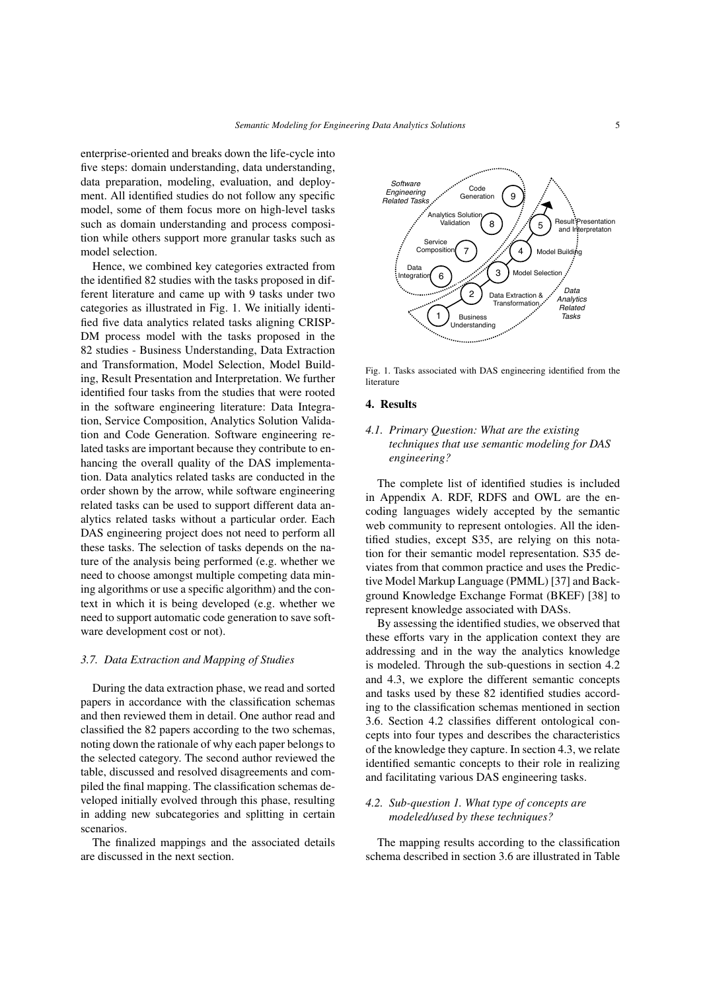enterprise-oriented and breaks down the life-cycle into five steps: domain understanding, data understanding, data preparation, modeling, evaluation, and deployment. All identified studies do not follow any specific model, some of them focus more on high-level tasks such as domain understanding and process composition while others support more granular tasks such as model selection.

Hence, we combined key categories extracted from the identified 82 studies with the tasks proposed in different literature and came up with 9 tasks under two categories as illustrated in Fig. [1.](#page-4-1) We initially identified five data analytics related tasks aligning CRISP-DM process model with the tasks proposed in the 82 studies - Business Understanding, Data Extraction and Transformation, Model Selection, Model Building, Result Presentation and Interpretation. We further identified four tasks from the studies that were rooted in the software engineering literature: Data Integration, Service Composition, Analytics Solution Validation and Code Generation. Software engineering related tasks are important because they contribute to enhancing the overall quality of the DAS implementation. Data analytics related tasks are conducted in the order shown by the arrow, while software engineering related tasks can be used to support different data analytics related tasks without a particular order. Each DAS engineering project does not need to perform all these tasks. The selection of tasks depends on the nature of the analysis being performed (e.g. whether we need to choose amongst multiple competing data mining algorithms or use a specific algorithm) and the context in which it is being developed (e.g. whether we need to support automatic code generation to save software development cost or not).

#### *3.7. Data Extraction and Mapping of Studies*

During the data extraction phase, we read and sorted papers in accordance with the classification schemas and then reviewed them in detail. One author read and classified the 82 papers according to the two schemas, noting down the rationale of why each paper belongs to the selected category. The second author reviewed the table, discussed and resolved disagreements and compiled the final mapping. The classification schemas developed initially evolved through this phase, resulting in adding new subcategories and splitting in certain scenarios.

The finalized mappings and the associated details are discussed in the next section.



<span id="page-4-1"></span>Fig. 1. Tasks associated with DAS engineering identified from the literature

#### 4. Results

# *4.1. Primary Question: What are the existing techniques that use semantic modeling for DAS engineering?*

The complete list of identified studies is included in Appendix A. RDF, RDFS and OWL are the encoding languages widely accepted by the semantic web community to represent ontologies. All the identified studies, except [S35,](#page-17-0) are relying on this notation for their semantic model representation. [S35](#page-17-0) deviates from that common practice and uses the Predictive Model Markup Language (PMML) [\[37\]](#page-20-34) and Background Knowledge Exchange Format (BKEF) [\[38\]](#page-20-35) to represent knowledge associated with DASs.

By assessing the identified studies, we observed that these efforts vary in the application context they are addressing and in the way the analytics knowledge is modeled. Through the sub-questions in section [4.2](#page-4-0) and [4.3,](#page-8-0) we explore the different semantic concepts and tasks used by these 82 identified studies according to the classification schemas mentioned in section 3.6. Section [4.2](#page-4-0) classifies different ontological concepts into four types and describes the characteristics of the knowledge they capture. In section [4.3,](#page-8-0) we relate identified semantic concepts to their role in realizing and facilitating various DAS engineering tasks.

# <span id="page-4-0"></span>*4.2. Sub-question 1. What type of concepts are modeled/used by these techniques?*

The mapping results according to the classification schema described in section 3.6 are illustrated in Table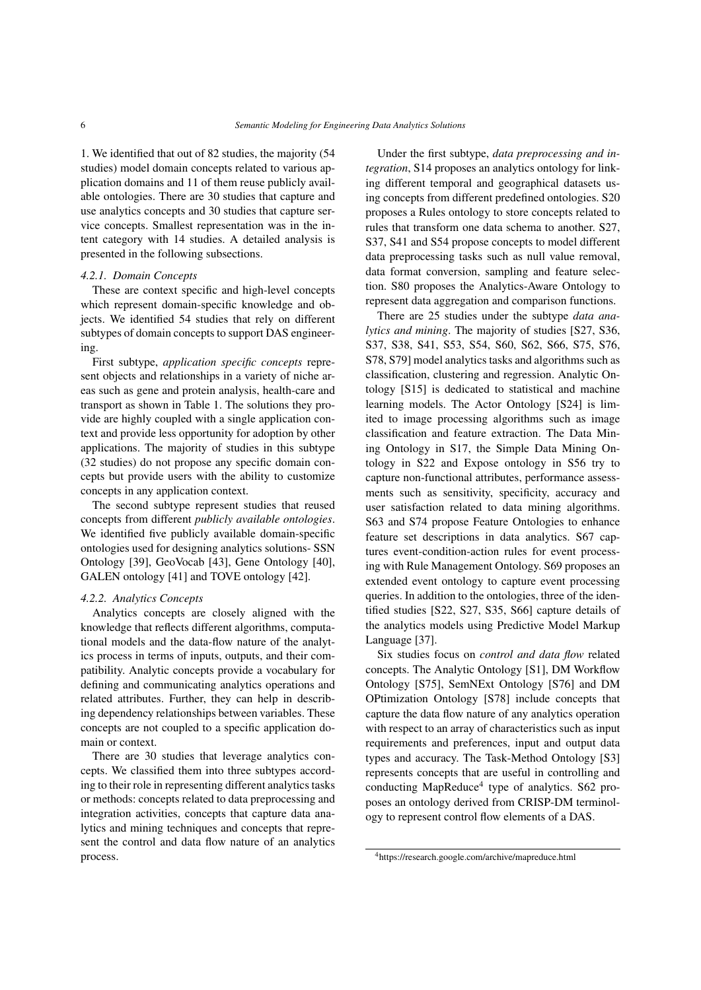[1.](#page-6-0) We identified that out of 82 studies, the majority (54 studies) model domain concepts related to various application domains and 11 of them reuse publicly available ontologies. There are 30 studies that capture and use analytics concepts and 30 studies that capture service concepts. Smallest representation was in the intent category with 14 studies. A detailed analysis is presented in the following subsections.

## *4.2.1. Domain Concepts*

These are context specific and high-level concepts which represent domain-specific knowledge and objects. We identified 54 studies that rely on different subtypes of domain concepts to support DAS engineering.

First subtype, *application specific concepts* represent objects and relationships in a variety of niche areas such as gene and protein analysis, health-care and transport as shown in Table 1. The solutions they provide are highly coupled with a single application context and provide less opportunity for adoption by other applications. The majority of studies in this subtype (32 studies) do not propose any specific domain concepts but provide users with the ability to customize concepts in any application context.

The second subtype represent studies that reused concepts from different *publicly available ontologies*. We identified five publicly available domain-specific ontologies used for designing analytics solutions- SSN Ontology [\[39\]](#page-21-0), GeoVocab [\[43\]](#page-21-1), Gene Ontology [\[40\]](#page-21-2), GALEN ontology [\[41\]](#page-21-3) and TOVE ontology [\[42\]](#page-21-4).

## *4.2.2. Analytics Concepts*

Analytics concepts are closely aligned with the knowledge that reflects different algorithms, computational models and the data-flow nature of the analytics process in terms of inputs, outputs, and their compatibility. Analytic concepts provide a vocabulary for defining and communicating analytics operations and related attributes. Further, they can help in describing dependency relationships between variables. These concepts are not coupled to a specific application domain or context.

There are 30 studies that leverage analytics concepts. We classified them into three subtypes according to their role in representing different analytics tasks or methods: concepts related to data preprocessing and integration activities, concepts that capture data analytics and mining techniques and concepts that represent the control and data flow nature of an analytics process.

Under the first subtype, *data preprocessing and integration*, [S14](#page-16-0) proposes an analytics ontology for linking different temporal and geographical datasets using concepts from different predefined ontologies. [S20](#page-17-1) proposes a Rules ontology to store concepts related to rules that transform one data schema to another. [S27,](#page-17-2) [S37,](#page-17-3) [S41](#page-18-0) and [S54](#page-18-1) propose concepts to model different data preprocessing tasks such as null value removal, data format conversion, sampling and feature selection. [S80](#page-19-0) proposes the Analytics-Aware Ontology to represent data aggregation and comparison functions.

There are 25 studies under the subtype *data analytics and mining*. The majority of studies [\[S27,](#page-17-2) [S36,](#page-17-4) [S37,](#page-17-3) [S38,](#page-17-5) [S41,](#page-18-0) [S53,](#page-18-2) [S54,](#page-18-1) [S60,](#page-18-3) [S62,](#page-19-1) [S66,](#page-19-2) [S75,](#page-19-3) [S76,](#page-19-4) [S78,](#page-19-5) [S79\]](#page-19-6) model analytics tasks and algorithms such as classification, clustering and regression. Analytic Ontology [\[S15\]](#page-16-1) is dedicated to statistical and machine learning models. The Actor Ontology [\[S24\]](#page-17-6) is limited to image processing algorithms such as image classification and feature extraction. The Data Mining Ontology in [S17,](#page-16-2) the Simple Data Mining Ontology in [S22](#page-17-7) and Expose ontology in [S56](#page-18-4) try to capture non-functional attributes, performance assessments such as sensitivity, specificity, accuracy and user satisfaction related to data mining algorithms. [S63](#page-19-7) and [S74](#page-19-8) propose Feature Ontologies to enhance feature set descriptions in data analytics. [S67](#page-19-9) captures event-condition-action rules for event processing with Rule Management Ontology. [S69](#page-19-10) proposes an extended event ontology to capture event processing queries. In addition to the ontologies, three of the identified studies [\[S22,](#page-17-7) [S27,](#page-17-2) [S35,](#page-17-0) [S66\]](#page-19-2) capture details of the analytics models using Predictive Model Markup Language [\[37\]](#page-20-34).

Six studies focus on *control and data flow* related concepts. The Analytic Ontology [\[S1\]](#page-16-3), DM Workflow Ontology [\[S75\]](#page-19-3), SemNExt Ontology [\[S76\]](#page-19-4) and DM OPtimization Ontology [\[S78\]](#page-19-5) include concepts that capture the data flow nature of any analytics operation with respect to an array of characteristics such as input requirements and preferences, input and output data types and accuracy. The Task-Method Ontology [\[S3\]](#page-16-4) represents concepts that are useful in controlling and conducting MapReduce<sup>[4](#page-5-0)</sup> type of analytics. [S62](#page-19-1) proposes an ontology derived from CRISP-DM terminology to represent control flow elements of a DAS.

<span id="page-5-0"></span><sup>4</sup>https://research.google.com/archive/mapreduce.html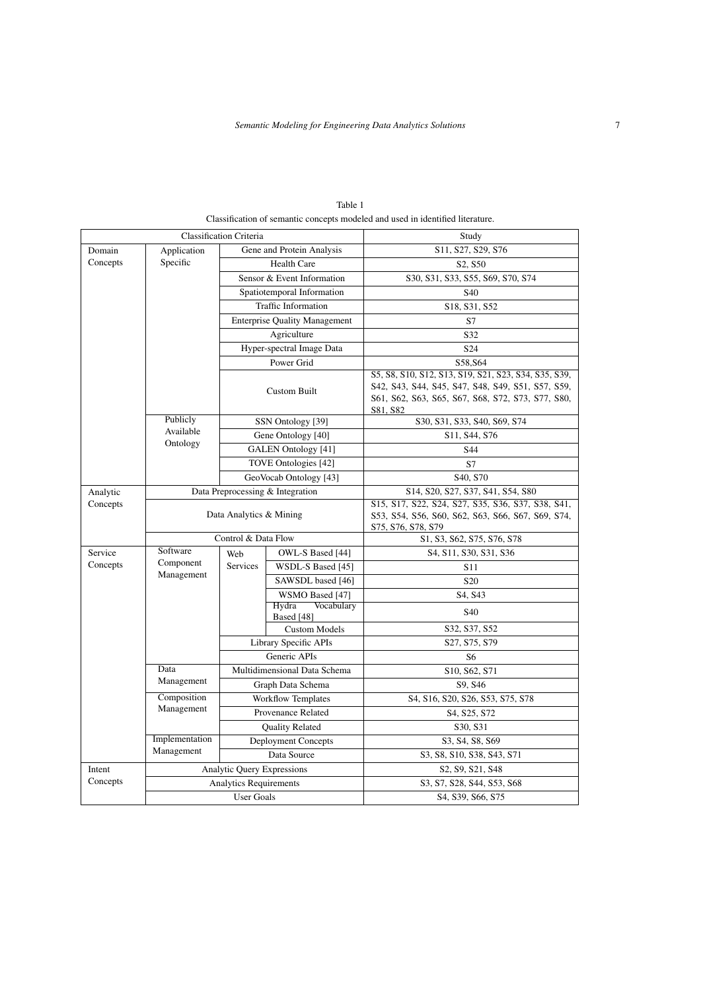|                     |                                     | <b>Classification Criteria</b> | Study                                |                                                                                                                                                                            |  |
|---------------------|-------------------------------------|--------------------------------|--------------------------------------|----------------------------------------------------------------------------------------------------------------------------------------------------------------------------|--|
| Domain              | Application                         |                                | Gene and Protein Analysis            | S11, S27, S29, S76                                                                                                                                                         |  |
| Concepts            | Specific                            | <b>Health Care</b>             |                                      | S2, S50                                                                                                                                                                    |  |
|                     |                                     | Sensor & Event Information     |                                      | S30, S31, S33, S55, S69, S70, S74                                                                                                                                          |  |
|                     |                                     | Spatiotemporal Information     |                                      | S40                                                                                                                                                                        |  |
|                     | Traffic Information                 |                                |                                      | S18, S31, S52                                                                                                                                                              |  |
|                     |                                     |                                | <b>Enterprise Quality Management</b> | S7                                                                                                                                                                         |  |
|                     |                                     | Agriculture                    |                                      | S32                                                                                                                                                                        |  |
|                     |                                     | Hyper-spectral Image Data      |                                      | S <sub>24</sub>                                                                                                                                                            |  |
|                     |                                     | Power Grid                     |                                      | S58, S64                                                                                                                                                                   |  |
|                     |                                     | <b>Custom Built</b>            |                                      | S5, S8, S10, S12, S13, S19, S21, S23, S34, S35, S39,<br>S42, S43, S44, S45, S47, S48, S49, S51, S57, S59,<br>S61, S62, S63, S65, S67, S68, S72, S73, S77, S80,<br>S81, S82 |  |
|                     | Publicly<br>Available<br>Ontology   | SSN Ontology [39]              |                                      | S30, S31, S33, S40, S69, S74                                                                                                                                               |  |
|                     |                                     | Gene Ontology [40]             |                                      | S11, S44, S76                                                                                                                                                              |  |
|                     |                                     | GALEN Ontology [41]            |                                      | S44                                                                                                                                                                        |  |
|                     |                                     | TOVE Ontologies [42]           |                                      | S7                                                                                                                                                                         |  |
|                     |                                     | GeoVocab Ontology [43]         |                                      | S <sub>40</sub> , S <sub>70</sub>                                                                                                                                          |  |
| Analytic            | Data Preprocessing & Integration    |                                |                                      | S14, S20, S27, S37, S41, S54, S80                                                                                                                                          |  |
| Concepts            | Data Analytics & Mining             |                                |                                      | S15, S17, S22, S24, S27, S35, S36, S37, S38, S41,<br>S53, S54, S56, S60, S62, S63, S66, S67, S69, S74,<br>S75, S76, S78, S79                                               |  |
|                     | Control & Data Flow                 |                                |                                      | S1, S3, S62, S75, S76, S78                                                                                                                                                 |  |
| Service<br>Concepts | Software<br>Component<br>Management | Web<br><b>Services</b>         | OWL-S Based [44]                     | S4, S11, S30, S31, S36                                                                                                                                                     |  |
|                     |                                     |                                | WSDL-S Based [45]                    | S <sub>11</sub>                                                                                                                                                            |  |
|                     |                                     |                                | SAWSDL based [46]                    | S <sub>20</sub>                                                                                                                                                            |  |
|                     |                                     |                                | WSMO Based [47]                      | S4, S43                                                                                                                                                                    |  |
|                     |                                     |                                | Hydra<br>Vocabulary<br>Based [48]    | S <sub>40</sub>                                                                                                                                                            |  |
|                     |                                     |                                | <b>Custom Models</b>                 | S32, S37, S52                                                                                                                                                              |  |
|                     |                                     |                                | Library Specific APIs                | S27, S75, S79                                                                                                                                                              |  |
|                     |                                     | Generic APIs                   |                                      | S <sub>6</sub>                                                                                                                                                             |  |
|                     | Data<br>Management                  | Multidimensional Data Schema   |                                      | S10, S62, S71                                                                                                                                                              |  |
|                     |                                     | Graph Data Schema              |                                      | S9, S46                                                                                                                                                                    |  |
|                     | Composition<br>Management           | <b>Workflow Templates</b>      |                                      | S4, S16, S20, S26, S53, S75, S78                                                                                                                                           |  |
|                     |                                     | Provenance Related             |                                      | S4, S25, S72                                                                                                                                                               |  |
|                     |                                     | <b>Quality Related</b>         |                                      | S30, S31                                                                                                                                                                   |  |
|                     | Implementation                      | <b>Deployment Concepts</b>     |                                      | S3, S4, S8, S69                                                                                                                                                            |  |
|                     | Management                          | Data Source                    |                                      | S3, S8, S10, S38, S43, S71                                                                                                                                                 |  |
| Intent              | Analytic Query Expressions          |                                |                                      | S2, S9, S21, S48                                                                                                                                                           |  |
| Concepts            | <b>Analytics Requirements</b>       |                                |                                      | S3, S7, S28, S44, S53, S68                                                                                                                                                 |  |
|                     | <b>User Goals</b>                   |                                |                                      | S4, S39, S66, S75                                                                                                                                                          |  |

<span id="page-6-0"></span>Table 1 Classification of semantic concepts modeled and used in identified literature.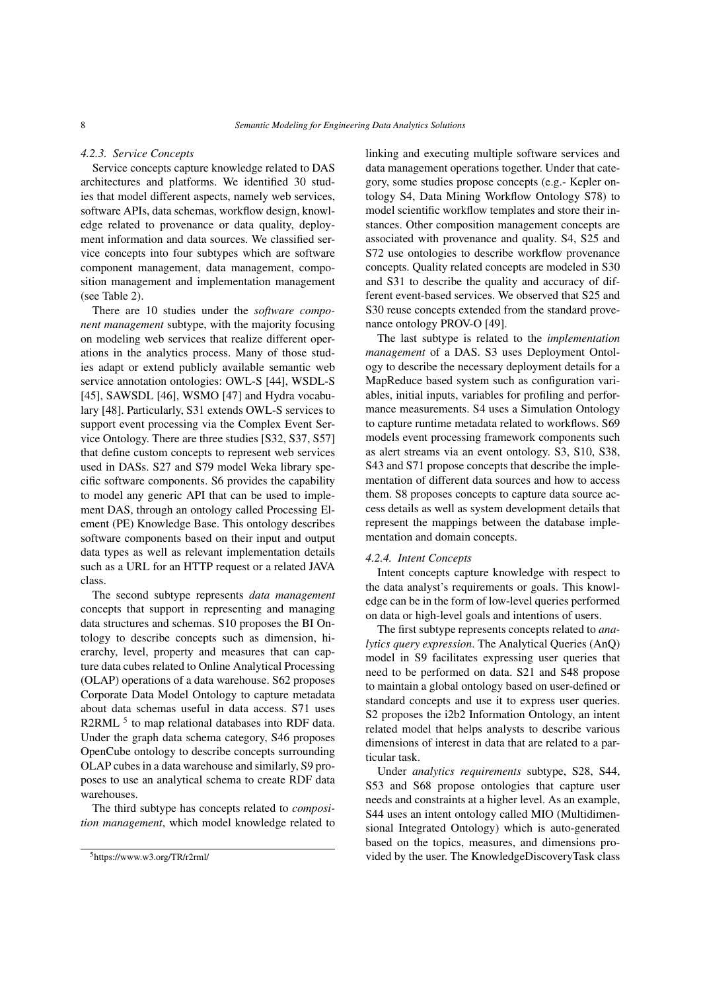#### *4.2.3. Service Concepts*

Service concepts capture knowledge related to DAS architectures and platforms. We identified 30 studies that model different aspects, namely web services, software APIs, data schemas, workflow design, knowledge related to provenance or data quality, deployment information and data sources. We classified service concepts into four subtypes which are software component management, data management, composition management and implementation management (see Table 2).

There are 10 studies under the *software component management* subtype, with the majority focusing on modeling web services that realize different operations in the analytics process. Many of those studies adapt or extend publicly available semantic web service annotation ontologies: OWL-S [\[44\]](#page-21-5), WSDL-S [\[45\]](#page-21-6), SAWSDL [\[46\]](#page-21-7), WSMO [\[47\]](#page-21-8) and Hydra vocabulary [\[48\]](#page-21-9). Particularly, [S31](#page-17-10) extends OWL-S services to support event processing via the Complex Event Service Ontology. There are three studies [\[S32,](#page-17-12) [S37,](#page-17-3) [S57\]](#page-18-19) that define custom concepts to represent web services used in DASs. [S27](#page-17-2) and [S79](#page-19-6) model Weka library specific software components. [S6](#page-16-16) provides the capability to model any generic API that can be used to implement DAS, through an ontology called Processing Element (PE) Knowledge Base. This ontology describes software components based on their input and output data types as well as relevant implementation details such as a URL for an HTTP request or a related JAVA class.

The second subtype represents *data management* concepts that support in representing and managing data structures and schemas. [S10](#page-16-11) proposes the BI Ontology to describe concepts such as dimension, hierarchy, level, property and measures that can capture data cubes related to Online Analytical Processing (OLAP) operations of a data warehouse. [S62](#page-19-1) proposes Corporate Data Model Ontology to capture metadata about data schemas useful in data access. [S71](#page-19-20) uses R2RML<sup>[5](#page-7-0)</sup> to map relational databases into RDF data. Under the graph data schema category, [S46](#page-18-21) proposes OpenCube ontology to describe concepts surrounding OLAP cubes in a data warehouse and similarly, [S9](#page-16-17) proposes to use an analytical schema to create RDF data warehouses.

The third subtype has concepts related to *composition management*, which model knowledge related to linking and executing multiple software services and data management operations together. Under that category, some studies propose concepts (e.g.- Kepler ontology [S4,](#page-16-15) Data Mining Workflow Ontology [S78\)](#page-19-5) to model scientific workflow templates and store their instances. Other composition management concepts are associated with provenance and quality. [S4,](#page-16-15) [S25](#page-17-17) and [S72](#page-19-16) use ontologies to describe workflow provenance concepts. Quality related concepts are modeled in [S30](#page-17-9) and [S31](#page-17-10) to describe the quality and accuracy of different event-based services. We observed that [S25](#page-17-17) and [S30](#page-17-9) reuse concepts extended from the standard provenance ontology PROV-O [\[49\]](#page-21-10).

The last subtype is related to the *implementation management* of a DAS. [S3](#page-16-4) uses Deployment Ontology to describe the necessary deployment details for a MapReduce based system such as configuration variables, initial inputs, variables for profiling and performance measurements. [S4](#page-16-15) uses a Simulation Ontology to capture runtime metadata related to workflows. [S69](#page-19-10) models event processing framework components such as alert streams via an event ontology. [S3,](#page-16-4) [S10,](#page-16-11) [S38,](#page-17-5) [S43](#page-18-12) and [S71](#page-19-20) propose concepts that describe the implementation of different data sources and how to access them. [S8](#page-16-10) proposes concepts to capture data source access details as well as system development details that represent the mappings between the database implementation and domain concepts.

#### *4.2.4. Intent Concepts*

Intent concepts capture knowledge with respect to the data analyst's requirements or goals. This knowledge can be in the form of low-level queries performed on data or high-level goals and intentions of users.

The first subtype represents concepts related to *analytics query expression*. The Analytical Queries (AnQ) model in [S9](#page-16-17) facilitates expressing user queries that need to be performed on data. [S21](#page-17-13) and [S48](#page-18-16) propose to maintain a global ontology based on user-defined or standard concepts and use it to express user queries. [S2](#page-16-6) proposes the i2b2 Information Ontology, an intent related model that helps analysts to describe various dimensions of interest in data that are related to a particular task.

Under *analytics requirements* subtype, [S28,](#page-17-18) [S44,](#page-18-13) [S53](#page-18-2) and [S68](#page-19-15) propose ontologies that capture user needs and constraints at a higher level. As an example, [S44](#page-18-13) uses an intent ontology called MIO (Multidimensional Integrated Ontology) which is auto-generated based on the topics, measures, and dimensions provided by the user. The KnowledgeDiscoveryTask class

<span id="page-7-0"></span><sup>5</sup>https://www.w3.org/TR/r2rml/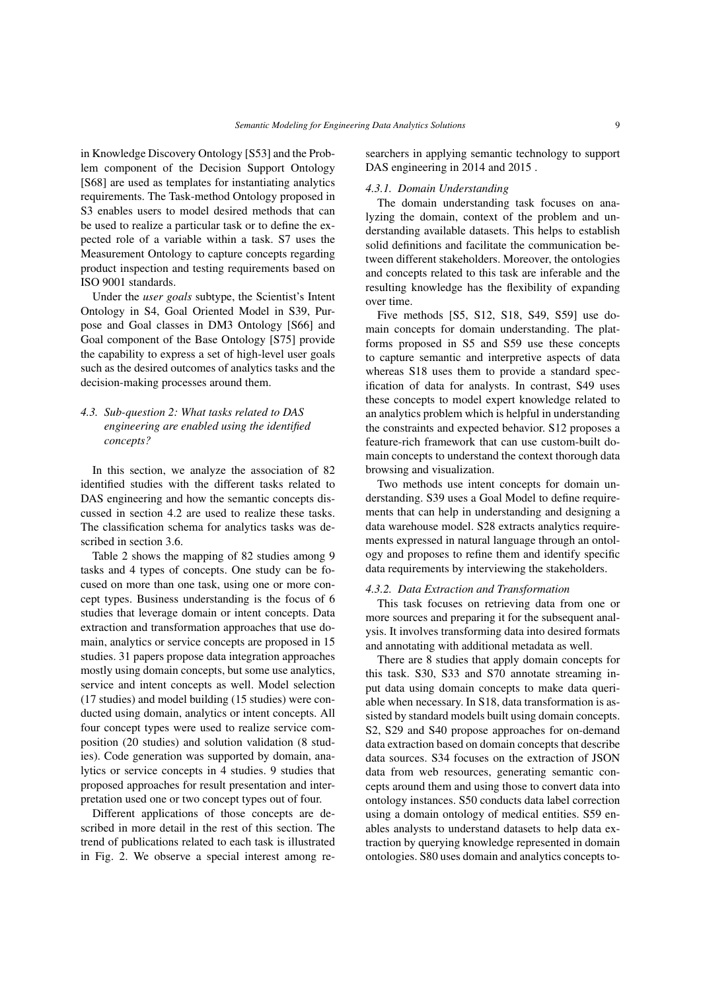in Knowledge Discovery Ontology [\[S53\]](#page-18-2) and the Problem component of the Decision Support Ontology [\[S68\]](#page-19-15) are used as templates for instantiating analytics requirements. The Task-method Ontology proposed in [S3](#page-16-4) enables users to model desired methods that can be used to realize a particular task or to define the expected role of a variable within a task. [S7](#page-16-8) uses the Measurement Ontology to capture concepts regarding product inspection and testing requirements based on ISO 9001 standards.

Under the *user goals* subtype, the Scientist's Intent Ontology in [S4,](#page-16-15) Goal Oriented Model in [S39,](#page-18-10) Purpose and Goal classes in DM3 Ontology [\[S66\]](#page-19-2) and Goal component of the Base Ontology [\[S75\]](#page-19-3) provide the capability to express a set of high-level user goals such as the desired outcomes of analytics tasks and the decision-making processes around them.

# <span id="page-8-0"></span>*4.3. Sub-question 2: What tasks related to DAS engineering are enabled using the identified concepts?*

In this section, we analyze the association of 82 identified studies with the different tasks related to DAS engineering and how the semantic concepts discussed in section [4.2](#page-4-0) are used to realize these tasks. The classification schema for analytics tasks was described in section 3.6.

Table [2](#page-9-0) shows the mapping of 82 studies among 9 tasks and 4 types of concepts. One study can be focused on more than one task, using one or more concept types. Business understanding is the focus of 6 studies that leverage domain or intent concepts. Data extraction and transformation approaches that use domain, analytics or service concepts are proposed in 15 studies. 31 papers propose data integration approaches mostly using domain concepts, but some use analytics, service and intent concepts as well. Model selection (17 studies) and model building (15 studies) were conducted using domain, analytics or intent concepts. All four concept types were used to realize service composition (20 studies) and solution validation (8 studies). Code generation was supported by domain, analytics or service concepts in 4 studies. 9 studies that proposed approaches for result presentation and interpretation used one or two concept types out of four.

Different applications of those concepts are described in more detail in the rest of this section. The trend of publications related to each task is illustrated in Fig. [2.](#page-9-1) We observe a special interest among researchers in applying semantic technology to support DAS engineering in 2014 and 2015 .

# *4.3.1. Domain Understanding*

The domain understanding task focuses on analyzing the domain, context of the problem and understanding available datasets. This helps to establish solid definitions and facilitate the communication between different stakeholders. Moreover, the ontologies and concepts related to this task are inferable and the resulting knowledge has the flexibility of expanding over time.

Five methods [\[S5,](#page-16-9) [S12,](#page-16-12) [S18,](#page-16-7) [S49,](#page-18-17) [S59\]](#page-18-20) use domain concepts for domain understanding. The platforms proposed in [S5](#page-16-9) and [S59](#page-18-20) use these concepts to capture semantic and interpretive aspects of data whereas [S18](#page-16-7) uses them to provide a standard specification of data for analysts. In contrast, [S49](#page-18-17) uses these concepts to model expert knowledge related to an analytics problem which is helpful in understanding the constraints and expected behavior. [S12](#page-16-12) proposes a feature-rich framework that can use custom-built domain concepts to understand the context thorough data browsing and visualization.

Two methods use intent concepts for domain understanding. [S39](#page-18-10) uses a Goal Model to define requirements that can help in understanding and designing a data warehouse model. [S28](#page-17-18) extracts analytics requirements expressed in natural language through an ontology and proposes to refine them and identify specific data requirements by interviewing the stakeholders.

#### *4.3.2. Data Extraction and Transformation*

This task focuses on retrieving data from one or more sources and preparing it for the subsequent analysis. It involves transforming data into desired formats and annotating with additional metadata as well.

There are 8 studies that apply domain concepts for this task. [S30,](#page-17-9) [S33](#page-17-11) and [S70](#page-19-11) annotate streaming input data using domain concepts to make data queriable when necessary. In [S18,](#page-16-7) data transformation is assisted by standard models built using domain concepts. [S2,](#page-16-6) [S29](#page-17-8) and [S40](#page-18-7) propose approaches for on-demand data extraction based on domain concepts that describe data sources. [S34](#page-17-15) focuses on the extraction of JSON data from web resources, generating semantic concepts around them and using those to convert data into ontology instances. [S50](#page-18-5) conducts data label correction using a domain ontology of medical entities. [S59](#page-18-20) enables analysts to understand datasets to help data extraction by querying knowledge represented in domain ontologies. [S80](#page-19-0) uses domain and analytics concepts to-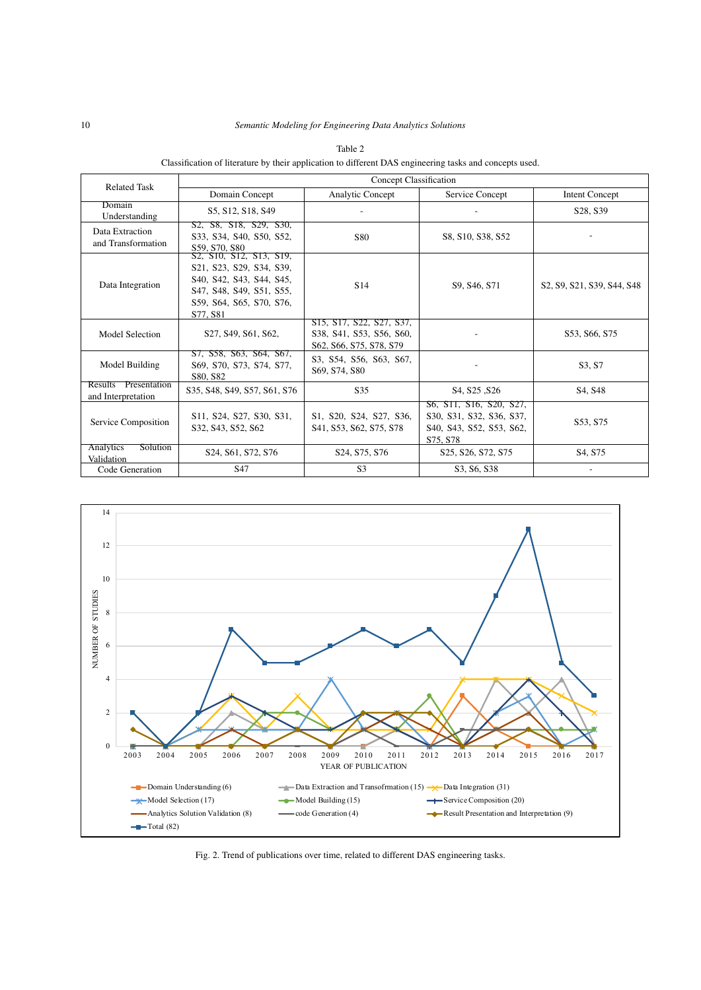| <b>Related Task</b>                        | Concept Classification                                                                                                                              |                                                                                                                                                  |                                                                                                                                                                                                                               |                                                                                                         |  |  |
|--------------------------------------------|-----------------------------------------------------------------------------------------------------------------------------------------------------|--------------------------------------------------------------------------------------------------------------------------------------------------|-------------------------------------------------------------------------------------------------------------------------------------------------------------------------------------------------------------------------------|---------------------------------------------------------------------------------------------------------|--|--|
|                                            | Domain Concept                                                                                                                                      | <b>Analytic Concept</b>                                                                                                                          | Service Concept                                                                                                                                                                                                               | <b>Intent Concept</b>                                                                                   |  |  |
| Domain<br>Understanding                    | S5, S12, S18, S49                                                                                                                                   |                                                                                                                                                  |                                                                                                                                                                                                                               | S28, S39                                                                                                |  |  |
| Data Extraction<br>and Transformation      | S2, S8, S18, S29, S30,<br>S33, S34, S40, S50, S52,<br>S59, S70, S80                                                                                 | S80                                                                                                                                              | S8, S10, S38, S52                                                                                                                                                                                                             |                                                                                                         |  |  |
| Data Integration                           | S2, S10, S12, S13, S19,<br>S21, S23, S29, S34, S39,<br>S40, S42, S43, S44, S45,<br>S47, S48, S49, S51, S55,<br>S59, S64, S65, S70, S76,<br>S77, S81 | S <sub>14</sub>                                                                                                                                  | S9, S46, S71                                                                                                                                                                                                                  | S <sub>2</sub> , S <sub>2</sub> , S <sub>21</sub> , S <sub>39</sub> , S <sub>44</sub> , S <sub>48</sub> |  |  |
| <b>Model Selection</b>                     | S27, S49, S61, S62,                                                                                                                                 | S <sub>15</sub> , S <sub>17</sub> , S <sub>22</sub> , S <sub>27</sub> , S <sub>37</sub> ,<br>S38, S41, S53, S56, S60,<br>S62, S66, S75, S78, S79 |                                                                                                                                                                                                                               | S53, S66, S75                                                                                           |  |  |
| Model Building                             | S7, S58, S63, S64, S67,<br>S69, S70, S73, S74, S77,<br>S80, S82                                                                                     | S3, S54, S56, S63, S67,<br>S69, S74, S80                                                                                                         | $\overline{\phantom{a}}$                                                                                                                                                                                                      | S3, S7                                                                                                  |  |  |
| Results Presentation<br>and Interpretation | S35, S48, S49, S57, S61, S76                                                                                                                        | S <sub>35</sub>                                                                                                                                  | S <sub>4</sub> , S <sub>25</sub> , S <sub>26</sub>                                                                                                                                                                            | S <sub>4</sub> . S <sub>48</sub>                                                                        |  |  |
| Service Composition                        | S11, S24, S27, S30, S31,<br>S32, S43, S52, S62                                                                                                      | S1, S20, S24, S27, S36,<br>S41, S53, S62, S75, S78                                                                                               | S <sub>6</sub> , S <sub>11</sub> , S <sub>16</sub> , S <sub>20</sub> , S <sub>27</sub> ,<br>S30, S31, S32, S36, S37,<br>S <sub>40</sub> , S <sub>43</sub> , S <sub>52</sub> , S <sub>53</sub> , S <sub>62</sub> ,<br>S75, S78 | S53, S75                                                                                                |  |  |
| Analytics<br><b>Solution</b><br>Validation | S <sub>24</sub> , S <sub>61</sub> , S <sub>72</sub> , S <sub>76</sub>                                                                               | S <sub>24</sub> , S <sub>75</sub> , S <sub>76</sub>                                                                                              | S <sub>25</sub> , S <sub>26</sub> , S <sub>72</sub> , S <sub>75</sub>                                                                                                                                                         | S <sub>4</sub> , S <sub>75</sub>                                                                        |  |  |
| Code Generation                            | S <sub>47</sub>                                                                                                                                     | S <sub>3</sub>                                                                                                                                   | S3, S6, S38                                                                                                                                                                                                                   |                                                                                                         |  |  |

<span id="page-9-0"></span>Table 2 Classification of literature by their application to different DAS engineering tasks and concepts used.



<span id="page-9-1"></span>Fig. 2. Trend of publications over time, related to different DAS engineering tasks.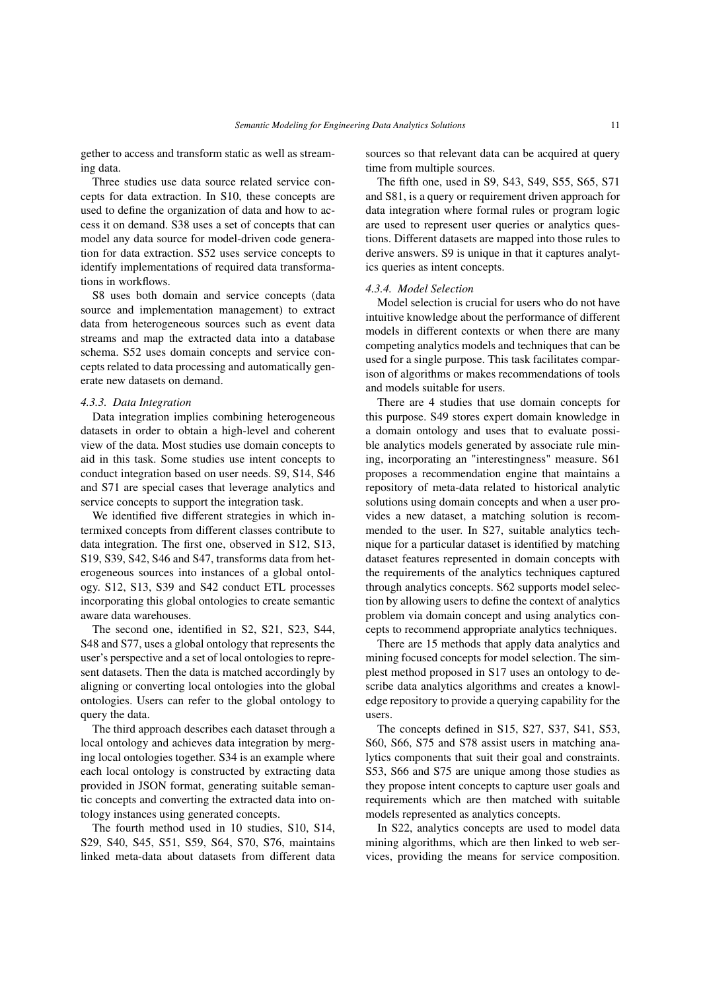gether to access and transform static as well as streaming data.

Three studies use data source related service concepts for data extraction. In [S10,](#page-16-11) these concepts are used to define the organization of data and how to access it on demand. [S38](#page-17-5) uses a set of concepts that can model any data source for model-driven code generation for data extraction. [S52](#page-18-8) uses service concepts to identify implementations of required data transformations in workflows.

[S8](#page-16-10) uses both domain and service concepts (data source and implementation management) to extract data from heterogeneous sources such as event data streams and map the extracted data into a database schema. [S52](#page-18-8) uses domain concepts and service concepts related to data processing and automatically generate new datasets on demand.

#### *4.3.3. Data Integration*

Data integration implies combining heterogeneous datasets in order to obtain a high-level and coherent view of the data. Most studies use domain concepts to aid in this task. Some studies use intent concepts to conduct integration based on user needs. [S9,](#page-16-17) [S14,](#page-16-0) [S46](#page-18-21) and [S71](#page-19-20) are special cases that leverage analytics and service concepts to support the integration task.

We identified five different strategies in which intermixed concepts from different classes contribute to data integration. The first one, observed in [S12,](#page-16-12) [S13,](#page-16-13) [S19,](#page-16-14) [S39,](#page-18-10) [S42,](#page-18-11) [S46](#page-18-21) and [S47,](#page-18-15) transforms data from heterogeneous sources into instances of a global ontology. [S12,](#page-16-12) [S13,](#page-16-13) [S39](#page-18-10) and [S42](#page-18-11) conduct ETL processes incorporating this global ontologies to create semantic aware data warehouses.

The second one, identified in [S2,](#page-16-6) [S21,](#page-17-13) [S23,](#page-17-14) [S44,](#page-18-13) [S48](#page-18-16) and [S77,](#page-19-18) uses a global ontology that represents the user's perspective and a set of local ontologies to represent datasets. Then the data is matched accordingly by aligning or converting local ontologies into the global ontologies. Users can refer to the global ontology to query the data.

The third approach describes each dataset through a local ontology and achieves data integration by merging local ontologies together. [S34](#page-17-15) is an example where each local ontology is constructed by extracting data provided in JSON format, generating suitable semantic concepts and converting the extracted data into ontology instances using generated concepts.

The fourth method used in 10 studies, [S10,](#page-16-11) [S14,](#page-16-0) [S29,](#page-17-8) [S40,](#page-18-7) [S45,](#page-18-14) [S51,](#page-18-18) [S59,](#page-18-20) [S64,](#page-19-12) [S70,](#page-19-11) [S76,](#page-19-4) maintains linked meta-data about datasets from different data sources so that relevant data can be acquired at query time from multiple sources.

The fifth one, used in [S9,](#page-16-17) [S43,](#page-18-12) [S49,](#page-18-17) [S55,](#page-18-6) [S65,](#page-19-14) [S71](#page-19-20) and [S81,](#page-19-19) is a query or requirement driven approach for data integration where formal rules or program logic are used to represent user queries or analytics questions. Different datasets are mapped into those rules to derive answers. [S9](#page-16-17) is unique in that it captures analytics queries as intent concepts.

#### *4.3.4. Model Selection*

Model selection is crucial for users who do not have intuitive knowledge about the performance of different models in different contexts or when there are many competing analytics models and techniques that can be used for a single purpose. This task facilitates comparison of algorithms or makes recommendations of tools and models suitable for users.

There are 4 studies that use domain concepts for this purpose. [S49](#page-18-17) stores expert domain knowledge in a domain ontology and uses that to evaluate possible analytics models generated by associate rule mining, incorporating an "interestingness" measure. [S61](#page-19-13) proposes a recommendation engine that maintains a repository of meta-data related to historical analytic solutions using domain concepts and when a user provides a new dataset, a matching solution is recommended to the user. In [S27,](#page-17-2) suitable analytics technique for a particular dataset is identified by matching dataset features represented in domain concepts with the requirements of the analytics techniques captured through analytics concepts. [S62](#page-19-1) supports model selection by allowing users to define the context of analytics problem via domain concept and using analytics concepts to recommend appropriate analytics techniques.

There are 15 methods that apply data analytics and mining focused concepts for model selection. The simplest method proposed in [S17](#page-16-2) uses an ontology to describe data analytics algorithms and creates a knowledge repository to provide a querying capability for the users.

The concepts defined in [S15,](#page-16-1) [S27,](#page-17-2) [S37,](#page-17-3) [S41,](#page-18-0) [S53,](#page-18-2) [S60,](#page-18-3) [S66,](#page-19-2) [S75](#page-19-3) and [S78](#page-19-5) assist users in matching analytics components that suit their goal and constraints. [S53,](#page-18-2) [S66](#page-19-2) and [S75](#page-19-3) are unique among those studies as they propose intent concepts to capture user goals and requirements which are then matched with suitable models represented as analytics concepts.

In [S22,](#page-17-7) analytics concepts are used to model data mining algorithms, which are then linked to web services, providing the means for service composition.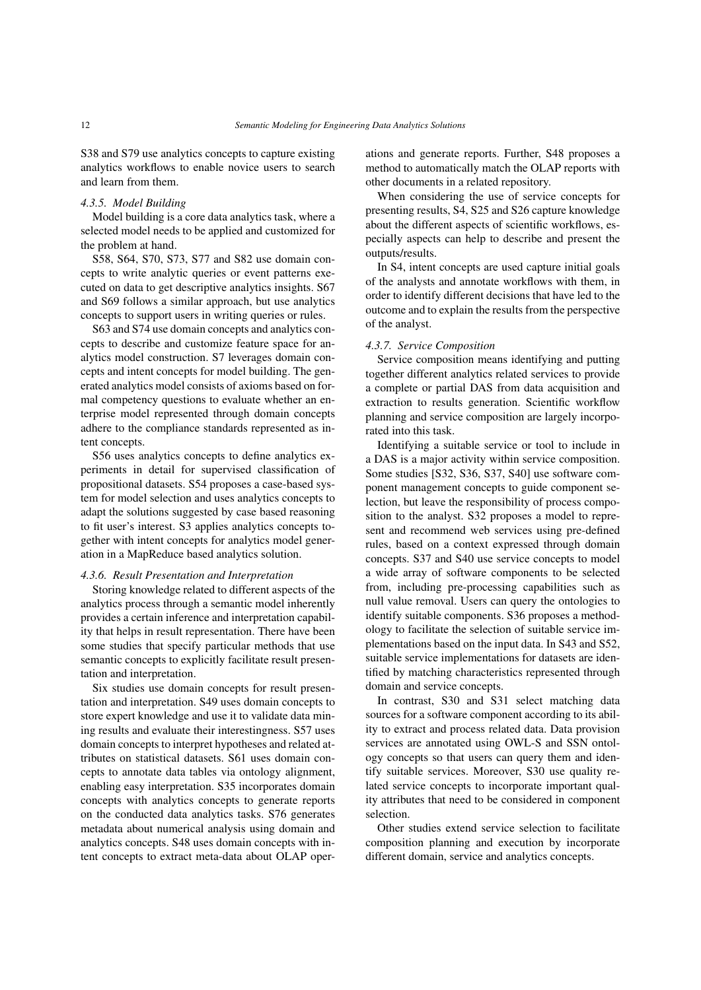[S38](#page-17-5) and [S79](#page-19-6) use analytics concepts to capture existing analytics workflows to enable novice users to search and learn from them.

## *4.3.5. Model Building*

Model building is a core data analytics task, where a selected model needs to be applied and customized for the problem at hand.

[S58,](#page-18-9) [S64,](#page-19-12) [S70,](#page-19-11) [S73,](#page-19-17) [S77](#page-19-18) and [S82](#page-20-36) use domain concepts to write analytic queries or event patterns executed on data to get descriptive analytics insights. [S67](#page-19-9) and [S69](#page-19-10) follows a similar approach, but use analytics concepts to support users in writing queries or rules.

[S63](#page-19-7) and [S74](#page-19-8) use domain concepts and analytics concepts to describe and customize feature space for analytics model construction. [S7](#page-16-8) leverages domain concepts and intent concepts for model building. The generated analytics model consists of axioms based on formal competency questions to evaluate whether an enterprise model represented through domain concepts adhere to the compliance standards represented as intent concepts.

[S56](#page-18-4) uses analytics concepts to define analytics experiments in detail for supervised classification of propositional datasets. [S54](#page-18-1) proposes a case-based system for model selection and uses analytics concepts to adapt the solutions suggested by case based reasoning to fit user's interest. [S3](#page-16-4) applies analytics concepts together with intent concepts for analytics model generation in a MapReduce based analytics solution.

## *4.3.6. Result Presentation and Interpretation*

Storing knowledge related to different aspects of the analytics process through a semantic model inherently provides a certain inference and interpretation capability that helps in result representation. There have been some studies that specify particular methods that use semantic concepts to explicitly facilitate result presentation and interpretation.

Six studies use domain concepts for result presentation and interpretation. [S49](#page-18-17) uses domain concepts to store expert knowledge and use it to validate data mining results and evaluate their interestingness. [S57](#page-18-19) uses domain concepts to interpret hypotheses and related attributes on statistical datasets. [S61](#page-19-13) uses domain concepts to annotate data tables via ontology alignment, enabling easy interpretation. [S35](#page-17-0) incorporates domain concepts with analytics concepts to generate reports on the conducted data analytics tasks. [S76](#page-19-4) generates metadata about numerical analysis using domain and analytics concepts. [S48](#page-18-16) uses domain concepts with intent concepts to extract meta-data about OLAP operations and generate reports. Further, [S48](#page-18-16) proposes a method to automatically match the OLAP reports with other documents in a related repository.

When considering the use of service concepts for presenting results, [S4,](#page-16-15) [S25](#page-17-17) and [S26](#page-17-16) capture knowledge about the different aspects of scientific workflows, especially aspects can help to describe and present the outputs/results.

In [S4,](#page-16-15) intent concepts are used capture initial goals of the analysts and annotate workflows with them, in order to identify different decisions that have led to the outcome and to explain the results from the perspective of the analyst.

#### *4.3.7. Service Composition*

Service composition means identifying and putting together different analytics related services to provide a complete or partial DAS from data acquisition and extraction to results generation. Scientific workflow planning and service composition are largely incorporated into this task.

Identifying a suitable service or tool to include in a DAS is a major activity within service composition. Some studies [\[S32,](#page-17-12) [S36,](#page-17-4) [S37,](#page-17-3) [S40\]](#page-18-7) use software component management concepts to guide component selection, but leave the responsibility of process composition to the analyst. [S32](#page-17-12) proposes a model to represent and recommend web services using pre-defined rules, based on a context expressed through domain concepts. [S37](#page-17-3) and [S40](#page-18-7) use service concepts to model a wide array of software components to be selected from, including pre-processing capabilities such as null value removal. Users can query the ontologies to identify suitable components. [S36](#page-17-4) proposes a methodology to facilitate the selection of suitable service implementations based on the input data. In [S43](#page-18-12) and [S52,](#page-18-8) suitable service implementations for datasets are identified by matching characteristics represented through domain and service concepts.

In contrast, [S30](#page-17-9) and [S31](#page-17-10) select matching data sources for a software component according to its ability to extract and process related data. Data provision services are annotated using OWL-S and SSN ontology concepts so that users can query them and identify suitable services. Moreover, [S30](#page-17-9) use quality related service concepts to incorporate important quality attributes that need to be considered in component selection.

Other studies extend service selection to facilitate composition planning and execution by incorporate different domain, service and analytics concepts.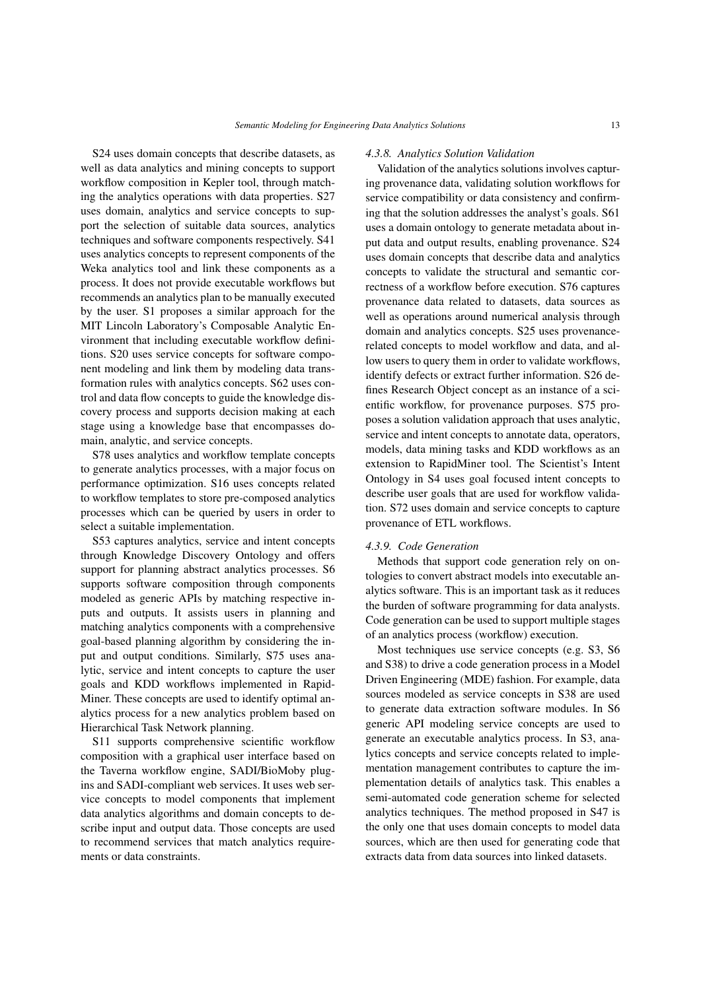[S24](#page-17-6) uses domain concepts that describe datasets, as well as data analytics and mining concepts to support workflow composition in Kepler tool, through matching the analytics operations with data properties. [S27](#page-17-2) uses domain, analytics and service concepts to support the selection of suitable data sources, analytics techniques and software components respectively. [S41](#page-18-0) uses analytics concepts to represent components of the Weka analytics tool and link these components as a process. It does not provide executable workflows but recommends an analytics plan to be manually executed by the user. [S1](#page-16-3) proposes a similar approach for the MIT Lincoln Laboratory's Composable Analytic Environment that including executable workflow definitions. [S20](#page-17-1) uses service concepts for software component modeling and link them by modeling data transformation rules with analytics concepts. [S62](#page-19-1) uses control and data flow concepts to guide the knowledge discovery process and supports decision making at each stage using a knowledge base that encompasses domain, analytic, and service concepts.

[S78](#page-19-5) uses analytics and workflow template concepts to generate analytics processes, with a major focus on performance optimization. [S16](#page-16-18) uses concepts related to workflow templates to store pre-composed analytics processes which can be queried by users in order to select a suitable implementation.

[S53](#page-18-2) captures analytics, service and intent concepts through Knowledge Discovery Ontology and offers support for planning abstract analytics processes. [S6](#page-16-16) supports software composition through components modeled as generic APIs by matching respective inputs and outputs. It assists users in planning and matching analytics components with a comprehensive goal-based planning algorithm by considering the input and output conditions. Similarly, [S75](#page-19-3) uses analytic, service and intent concepts to capture the user goals and KDD workflows implemented in Rapid-Miner. These concepts are used to identify optimal analytics process for a new analytics problem based on Hierarchical Task Network planning.

[S11](#page-16-5) supports comprehensive scientific workflow composition with a graphical user interface based on the Taverna workflow engine, SADI/BioMoby plugins and SADI-compliant web services. It uses web service concepts to model components that implement data analytics algorithms and domain concepts to describe input and output data. Those concepts are used to recommend services that match analytics requirements or data constraints.

#### *4.3.8. Analytics Solution Validation*

Validation of the analytics solutions involves capturing provenance data, validating solution workflows for service compatibility or data consistency and confirming that the solution addresses the analyst's goals. [S61](#page-19-13) uses a domain ontology to generate metadata about input data and output results, enabling provenance. [S24](#page-17-6) uses domain concepts that describe data and analytics concepts to validate the structural and semantic correctness of a workflow before execution. [S76](#page-19-4) captures provenance data related to datasets, data sources as well as operations around numerical analysis through domain and analytics concepts. [S25](#page-17-17) uses provenancerelated concepts to model workflow and data, and allow users to query them in order to validate workflows, identify defects or extract further information. [S26](#page-17-16) defines Research Object concept as an instance of a scientific workflow, for provenance purposes. [S75](#page-19-3) proposes a solution validation approach that uses analytic, service and intent concepts to annotate data, operators, models, data mining tasks and KDD workflows as an extension to RapidMiner tool. The Scientist's Intent Ontology in [S4](#page-16-15) uses goal focused intent concepts to describe user goals that are used for workflow validation. [S72](#page-19-16) uses domain and service concepts to capture provenance of ETL workflows.

## *4.3.9. Code Generation*

Methods that support code generation rely on ontologies to convert abstract models into executable analytics software. This is an important task as it reduces the burden of software programming for data analysts. Code generation can be used to support multiple stages of an analytics process (workflow) execution.

Most techniques use service concepts (e.g. [S3,](#page-16-4) [S6](#page-16-16) and [S38\)](#page-17-5) to drive a code generation process in a Model Driven Engineering (MDE) fashion. For example, data sources modeled as service concepts in [S38](#page-17-5) are used to generate data extraction software modules. In [S6](#page-16-16) generic API modeling service concepts are used to generate an executable analytics process. In [S3,](#page-16-4) analytics concepts and service concepts related to implementation management contributes to capture the implementation details of analytics task. This enables a semi-automated code generation scheme for selected analytics techniques. The method proposed in [S47](#page-18-15) is the only one that uses domain concepts to model data sources, which are then used for generating code that extracts data from data sources into linked datasets.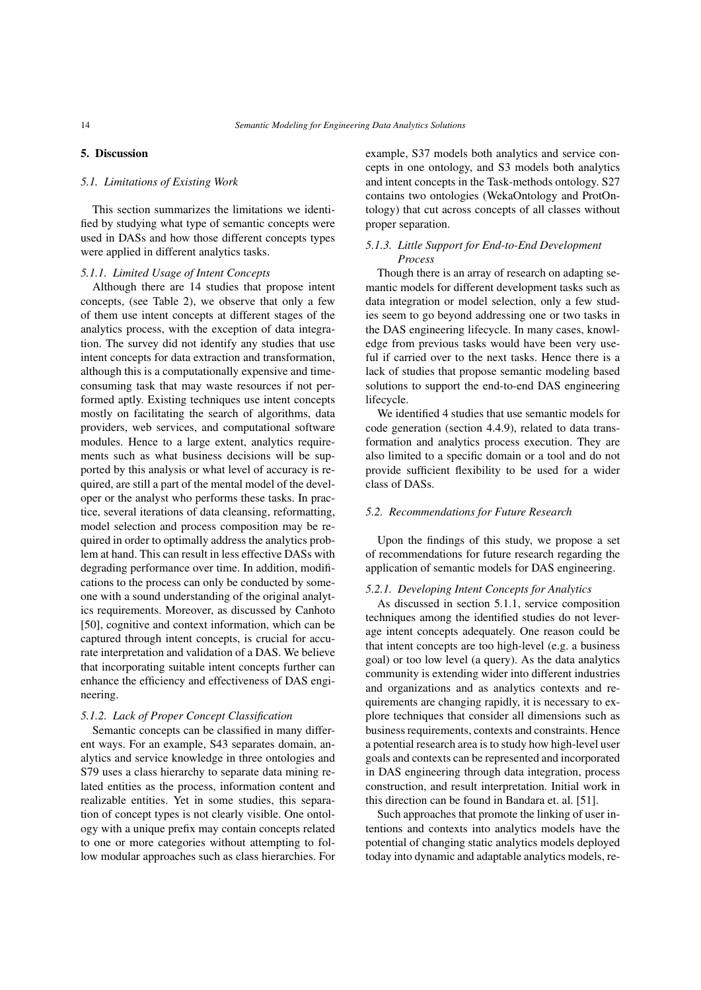## 5. Discussion

## *5.1. Limitations of Existing Work*

This section summarizes the limitations we identified by studying what type of semantic concepts were used in DASs and how those different concepts types were applied in different analytics tasks.

#### *5.1.1. Limited Usage of Intent Concepts*

Although there are 14 studies that propose intent concepts, (see Table [2\)](#page-9-0), we observe that only a few of them use intent concepts at different stages of the analytics process, with the exception of data integration. The survey did not identify any studies that use intent concepts for data extraction and transformation, although this is a computationally expensive and timeconsuming task that may waste resources if not performed aptly. Existing techniques use intent concepts mostly on facilitating the search of algorithms, data providers, web services, and computational software modules. Hence to a large extent, analytics requirements such as what business decisions will be supported by this analysis or what level of accuracy is required, are still a part of the mental model of the developer or the analyst who performs these tasks. In practice, several iterations of data cleansing, reformatting, model selection and process composition may be required in order to optimally address the analytics problem at hand. This can result in less effective DASs with degrading performance over time. In addition, modifications to the process can only be conducted by someone with a sound understanding of the original analytics requirements. Moreover, as discussed by Canhoto [\[50\]](#page-21-11), cognitive and context information, which can be captured through intent concepts, is crucial for accurate interpretation and validation of a DAS. We believe that incorporating suitable intent concepts further can enhance the efficiency and effectiveness of DAS engineering.

#### *5.1.2. Lack of Proper Concept Classification*

Semantic concepts can be classified in many different ways. For an example, [S43](#page-18-12) separates domain, analytics and service knowledge in three ontologies and [S79](#page-19-6) uses a class hierarchy to separate data mining related entities as the process, information content and realizable entities. Yet in some studies, this separation of concept types is not clearly visible. One ontology with a unique prefix may contain concepts related to one or more categories without attempting to follow modular approaches such as class hierarchies. For example, [S37](#page-17-3) models both analytics and service concepts in one ontology, and [S3](#page-16-4) models both analytics and intent concepts in the Task-methods ontology. [S27](#page-17-2) contains two ontologies (WekaOntology and ProtOntology) that cut across concepts of all classes without proper separation.

## *5.1.3. Little Support for End-to-End Development Process*

Though there is an array of research on adapting semantic models for different development tasks such as data integration or model selection, only a few studies seem to go beyond addressing one or two tasks in the DAS engineering lifecycle. In many cases, knowledge from previous tasks would have been very useful if carried over to the next tasks. Hence there is a lack of studies that propose semantic modeling based solutions to support the end-to-end DAS engineering lifecycle.

We identified 4 studies that use semantic models for code generation (section 4.4.9), related to data transformation and analytics process execution. They are also limited to a specific domain or a tool and do not provide sufficient flexibility to be used for a wider class of DASs.

#### *5.2. Recommendations for Future Research*

Upon the findings of this study, we propose a set of recommendations for future research regarding the application of semantic models for DAS engineering.

#### *5.2.1. Developing Intent Concepts for Analytics*

As discussed in section 5.1.1, service composition techniques among the identified studies do not leverage intent concepts adequately. One reason could be that intent concepts are too high-level (e.g. a business goal) or too low level (a query). As the data analytics community is extending wider into different industries and organizations and as analytics contexts and requirements are changing rapidly, it is necessary to explore techniques that consider all dimensions such as business requirements, contexts and constraints. Hence a potential research area is to study how high-level user goals and contexts can be represented and incorporated in DAS engineering through data integration, process construction, and result interpretation. Initial work in this direction can be found in Bandara et. al. [\[51\]](#page-21-12).

Such approaches that promote the linking of user intentions and contexts into analytics models have the potential of changing static analytics models deployed today into dynamic and adaptable analytics models, re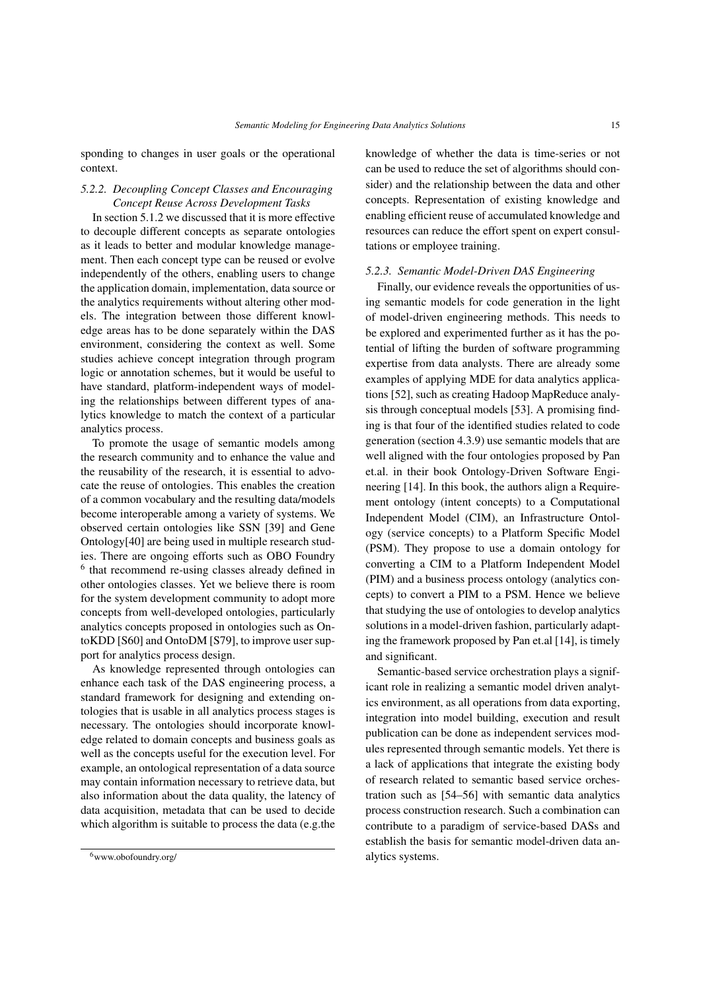sponding to changes in user goals or the operational context.

# *5.2.2. Decoupling Concept Classes and Encouraging Concept Reuse Across Development Tasks*

In section 5.1.2 we discussed that it is more effective to decouple different concepts as separate ontologies as it leads to better and modular knowledge management. Then each concept type can be reused or evolve independently of the others, enabling users to change the application domain, implementation, data source or the analytics requirements without altering other models. The integration between those different knowledge areas has to be done separately within the DAS environment, considering the context as well. Some studies achieve concept integration through program logic or annotation schemes, but it would be useful to have standard, platform-independent ways of modeling the relationships between different types of analytics knowledge to match the context of a particular analytics process.

To promote the usage of semantic models among the research community and to enhance the value and the reusability of the research, it is essential to advocate the reuse of ontologies. This enables the creation of a common vocabulary and the resulting data/models become interoperable among a variety of systems. We observed certain ontologies like SSN [\[39\]](#page-21-0) and Gene Ontology[\[40\]](#page-21-2) are being used in multiple research studies. There are ongoing efforts such as OBO Foundry [6](#page-14-0) that recommend re-using classes already defined in other ontologies classes. Yet we believe there is room for the system development community to adopt more concepts from well-developed ontologies, particularly analytics concepts proposed in ontologies such as OntoKDD [\[S60\]](#page-18-3) and OntoDM [\[S79\]](#page-19-6), to improve user support for analytics process design.

As knowledge represented through ontologies can enhance each task of the DAS engineering process, a standard framework for designing and extending ontologies that is usable in all analytics process stages is necessary. The ontologies should incorporate knowledge related to domain concepts and business goals as well as the concepts useful for the execution level. For example, an ontological representation of a data source may contain information necessary to retrieve data, but also information about the data quality, the latency of data acquisition, metadata that can be used to decide which algorithm is suitable to process the data (e.g.the knowledge of whether the data is time-series or not can be used to reduce the set of algorithms should consider) and the relationship between the data and other concepts. Representation of existing knowledge and enabling efficient reuse of accumulated knowledge and resources can reduce the effort spent on expert consultations or employee training.

## *5.2.3. Semantic Model-Driven DAS Engineering*

Finally, our evidence reveals the opportunities of using semantic models for code generation in the light of model-driven engineering methods. This needs to be explored and experimented further as it has the potential of lifting the burden of software programming expertise from data analysts. There are already some examples of applying MDE for data analytics applications [\[52\]](#page-21-13), such as creating Hadoop MapReduce analysis through conceptual models [\[53\]](#page-21-14). A promising finding is that four of the identified studies related to code generation (section 4.3.9) use semantic models that are well aligned with the four ontologies proposed by Pan et.al. in their book Ontology-Driven Software Engineering [\[14\]](#page-20-13). In this book, the authors align a Requirement ontology (intent concepts) to a Computational Independent Model (CIM), an Infrastructure Ontology (service concepts) to a Platform Specific Model (PSM). They propose to use a domain ontology for converting a CIM to a Platform Independent Model (PIM) and a business process ontology (analytics concepts) to convert a PIM to a PSM. Hence we believe that studying the use of ontologies to develop analytics solutions in a model-driven fashion, particularly adapting the framework proposed by Pan et.al [\[14\]](#page-20-13), is timely and significant.

Semantic-based service orchestration plays a significant role in realizing a semantic model driven analytics environment, as all operations from data exporting, integration into model building, execution and result publication can be done as independent services modules represented through semantic models. Yet there is a lack of applications that integrate the existing body of research related to semantic based service orchestration such as [\[54–](#page-21-15)[56\]](#page-21-16) with semantic data analytics process construction research. Such a combination can contribute to a paradigm of service-based DASs and establish the basis for semantic model-driven data analytics systems.

<span id="page-14-0"></span><sup>6</sup>www.obofoundry.org/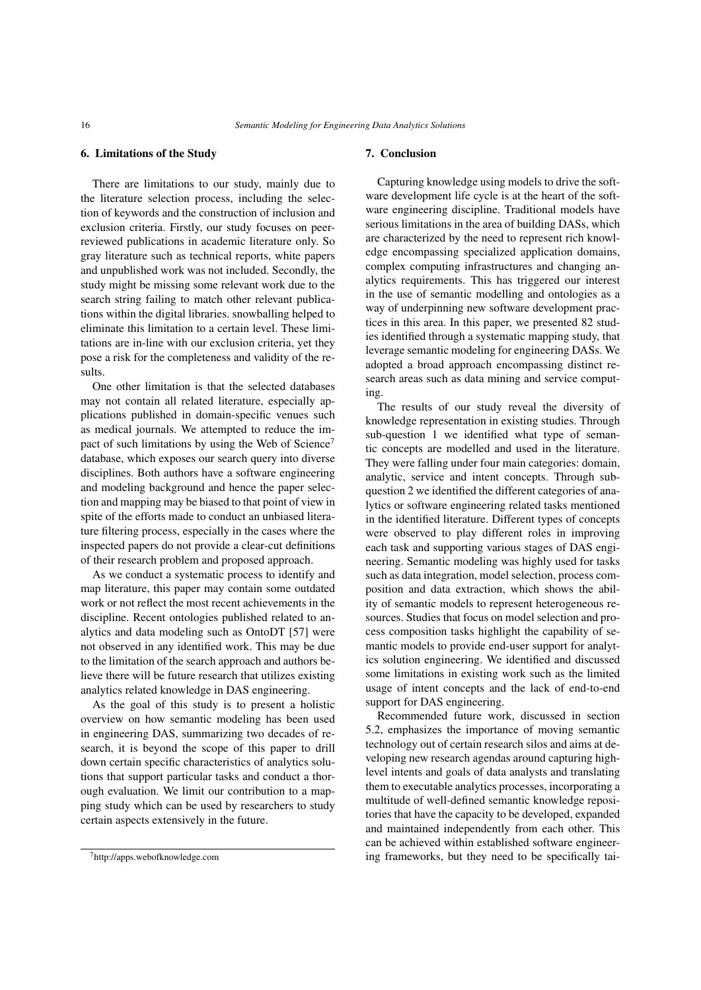## 6. Limitations of the Study

There are limitations to our study, mainly due to the literature selection process, including the selection of keywords and the construction of inclusion and exclusion criteria. Firstly, our study focuses on peerreviewed publications in academic literature only. So gray literature such as technical reports, white papers and unpublished work was not included. Secondly, the study might be missing some relevant work due to the search string failing to match other relevant publications within the digital libraries. snowballing helped to eliminate this limitation to a certain level. These limitations are in-line with our exclusion criteria, yet they pose a risk for the completeness and validity of the results.

One other limitation is that the selected databases may not contain all related literature, especially applications published in domain-specific venues such as medical journals. We attempted to reduce the im-pact of such limitations by using the Web of Science<sup>[7](#page-15-0)</sup> database, which exposes our search query into diverse disciplines. Both authors have a software engineering and modeling background and hence the paper selection and mapping may be biased to that point of view in spite of the efforts made to conduct an unbiased literature filtering process, especially in the cases where the inspected papers do not provide a clear-cut definitions of their research problem and proposed approach.

As we conduct a systematic process to identify and map literature, this paper may contain some outdated work or not reflect the most recent achievements in the discipline. Recent ontologies published related to analytics and data modeling such as OntoDT [\[57\]](#page-21-17) were not observed in any identified work. This may be due to the limitation of the search approach and authors believe there will be future research that utilizes existing analytics related knowledge in DAS engineering.

As the goal of this study is to present a holistic overview on how semantic modeling has been used in engineering DAS, summarizing two decades of research, it is beyond the scope of this paper to drill down certain specific characteristics of analytics solutions that support particular tasks and conduct a thorough evaluation. We limit our contribution to a mapping study which can be used by researchers to study certain aspects extensively in the future.

## 7. Conclusion

Capturing knowledge using models to drive the software development life cycle is at the heart of the software engineering discipline. Traditional models have serious limitations in the area of building DASs, which are characterized by the need to represent rich knowledge encompassing specialized application domains, complex computing infrastructures and changing analytics requirements. This has triggered our interest in the use of semantic modelling and ontologies as a way of underpinning new software development practices in this area. In this paper, we presented 82 studies identified through a systematic mapping study, that leverage semantic modeling for engineering DASs. We adopted a broad approach encompassing distinct research areas such as data mining and service computing.

The results of our study reveal the diversity of knowledge representation in existing studies. Through sub-question 1 we identified what type of semantic concepts are modelled and used in the literature. They were falling under four main categories: domain, analytic, service and intent concepts. Through subquestion 2 we identified the different categories of analytics or software engineering related tasks mentioned in the identified literature. Different types of concepts were observed to play different roles in improving each task and supporting various stages of DAS engineering. Semantic modeling was highly used for tasks such as data integration, model selection, process composition and data extraction, which shows the ability of semantic models to represent heterogeneous resources. Studies that focus on model selection and process composition tasks highlight the capability of semantic models to provide end-user support for analytics solution engineering. We identified and discussed some limitations in existing work such as the limited usage of intent concepts and the lack of end-to-end support for DAS engineering.

Recommended future work, discussed in section 5.2, emphasizes the importance of moving semantic technology out of certain research silos and aims at developing new research agendas around capturing highlevel intents and goals of data analysts and translating them to executable analytics processes, incorporating a multitude of well-defined semantic knowledge repositories that have the capacity to be developed, expanded and maintained independently from each other. This can be achieved within established software engineering frameworks, but they need to be specifically tai-

<span id="page-15-0"></span><sup>7</sup>http://apps.webofknowledge.com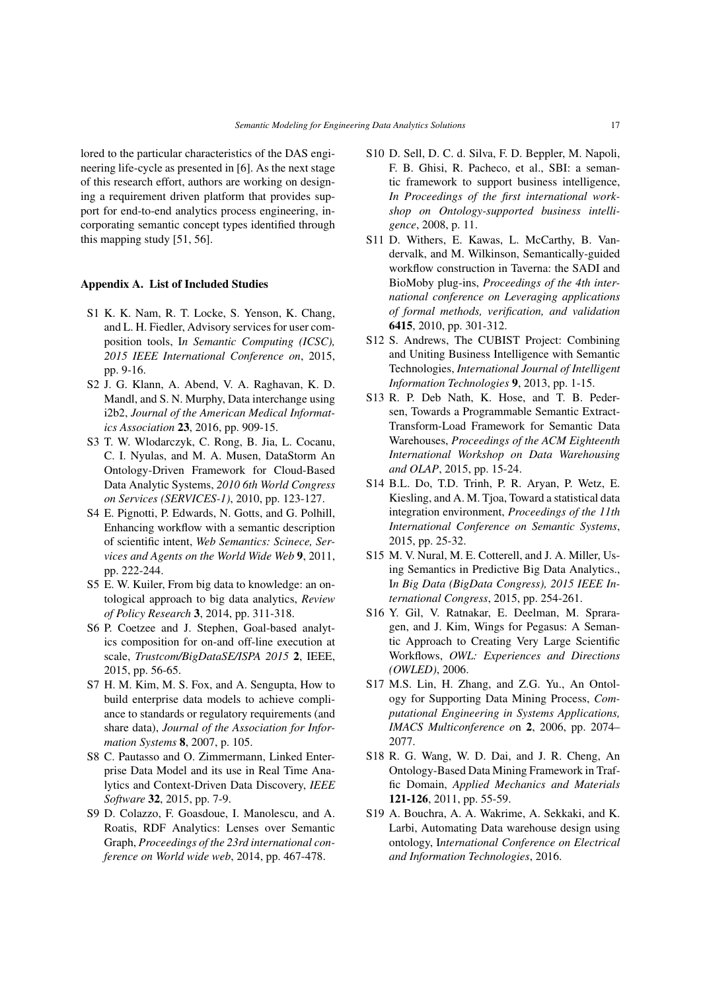lored to the particular characteristics of the DAS engineering life-cycle as presented in [\[6\]](#page-20-5). As the next stage of this research effort, authors are working on designing a requirement driven platform that provides support for end-to-end analytics process engineering, incorporating semantic concept types identified through this mapping study [\[51,](#page-21-12) [56\]](#page-21-16).

## Appendix A. List of Included Studies

- <span id="page-16-3"></span>S1 K. K. Nam, R. T. Locke, S. Yenson, K. Chang, and L. H. Fiedler, Advisory services for user composition tools, I*n Semantic Computing (ICSC), 2015 IEEE International Conference on*, 2015, pp. 9-16.
- <span id="page-16-6"></span>S2 J. G. Klann, A. Abend, V. A. Raghavan, K. D. Mandl, and S. N. Murphy, Data interchange using i2b2, *Journal of the American Medical Informatics Association* 23, 2016, pp. 909-15.
- <span id="page-16-4"></span>S3 T. W. Wlodarczyk, C. Rong, B. Jia, L. Cocanu, C. I. Nyulas, and M. A. Musen, DataStorm An Ontology-Driven Framework for Cloud-Based Data Analytic Systems, *2010 6th World Congress on Services (SERVICES-1)*, 2010, pp. 123-127.
- <span id="page-16-15"></span>S4 E. Pignotti, P. Edwards, N. Gotts, and G. Polhill, Enhancing workflow with a semantic description of scientific intent, *Web Semantics: Scinece, Services and Agents on the World Wide Web* 9, 2011, pp. 222-244.
- <span id="page-16-9"></span>S5 E. W. Kuiler, From big data to knowledge: an ontological approach to big data analytics, *Review of Policy Research* 3, 2014, pp. 311-318.
- <span id="page-16-16"></span>S6 P. Coetzee and J. Stephen, Goal-based analytics composition for on-and off-line execution at scale, *Trustcom/BigDataSE/ISPA 2015* 2, IEEE, 2015, pp. 56-65.
- <span id="page-16-8"></span>S7 H. M. Kim, M. S. Fox, and A. Sengupta, How to build enterprise data models to achieve compliance to standards or regulatory requirements (and share data), *Journal of the Association for Information Systems* 8, 2007, p. 105.
- <span id="page-16-10"></span>S8 C. Pautasso and O. Zimmermann, Linked Enterprise Data Model and its use in Real Time Analytics and Context-Driven Data Discovery, *IEEE Software* 32, 2015, pp. 7-9.
- <span id="page-16-17"></span>S9 D. Colazzo, F. Goasdoue, I. Manolescu, and A. Roatis, RDF Analytics: Lenses over Semantic Graph, *Proceedings of the 23rd international conference on World wide web*, 2014, pp. 467-478.
- <span id="page-16-11"></span>S10 D. Sell, D. C. d. Silva, F. D. Beppler, M. Napoli, F. B. Ghisi, R. Pacheco, et al., SBI: a semantic framework to support business intelligence, *In Proceedings of the first international workshop on Ontology-supported business intelligence*, 2008, p. 11.
- <span id="page-16-5"></span>S11 D. Withers, E. Kawas, L. McCarthy, B. Vandervalk, and M. Wilkinson, Semantically-guided workflow construction in Taverna: the SADI and BioMoby plug-ins, *Proceedings of the 4th international conference on Leveraging applications of formal methods, verification, and validation* 6415, 2010, pp. 301-312.
- <span id="page-16-12"></span>S12 S. Andrews, The CUBIST Project: Combining and Uniting Business Intelligence with Semantic Technologies, *International Journal of Intelligent Information Technologies* 9, 2013, pp. 1-15.
- <span id="page-16-13"></span>S13 R. P. Deb Nath, K. Hose, and T. B. Pedersen, Towards a Programmable Semantic Extract-Transform-Load Framework for Semantic Data Warehouses, *Proceedings of the ACM Eighteenth International Workshop on Data Warehousing and OLAP*, 2015, pp. 15-24.
- <span id="page-16-0"></span>S14 B.L. Do, T.D. Trinh, P. R. Aryan, P. Wetz, E. Kiesling, and A. M. Tjoa, Toward a statistical data integration environment, *Proceedings of the 11th International Conference on Semantic Systems*, 2015, pp. 25-32.
- <span id="page-16-1"></span>S15 M. V. Nural, M. E. Cotterell, and J. A. Miller, Using Semantics in Predictive Big Data Analytics., I*n Big Data (BigData Congress), 2015 IEEE International Congress*, 2015, pp. 254-261.
- <span id="page-16-18"></span>S16 Y. Gil, V. Ratnakar, E. Deelman, M. Spraragen, and J. Kim, Wings for Pegasus: A Semantic Approach to Creating Very Large Scientific Workflows, *OWL: Experiences and Directions (OWLED)*, 2006.
- <span id="page-16-2"></span>S17 M.S. Lin, H. Zhang, and Z.G. Yu., An Ontology for Supporting Data Mining Process, *Computational Engineering in Systems Applications, IMACS Multiconference o*n 2, 2006, pp. 2074– 2077.
- <span id="page-16-7"></span>S18 R. G. Wang, W. D. Dai, and J. R. Cheng, An Ontology-Based Data Mining Framework in Traffic Domain, *Applied Mechanics and Materials* 121-126, 2011, pp. 55-59.
- <span id="page-16-14"></span>S19 A. Bouchra, A. A. Wakrime, A. Sekkaki, and K. Larbi, Automating Data warehouse design using ontology, I*nternational Conference on Electrical and Information Technologies*, 2016.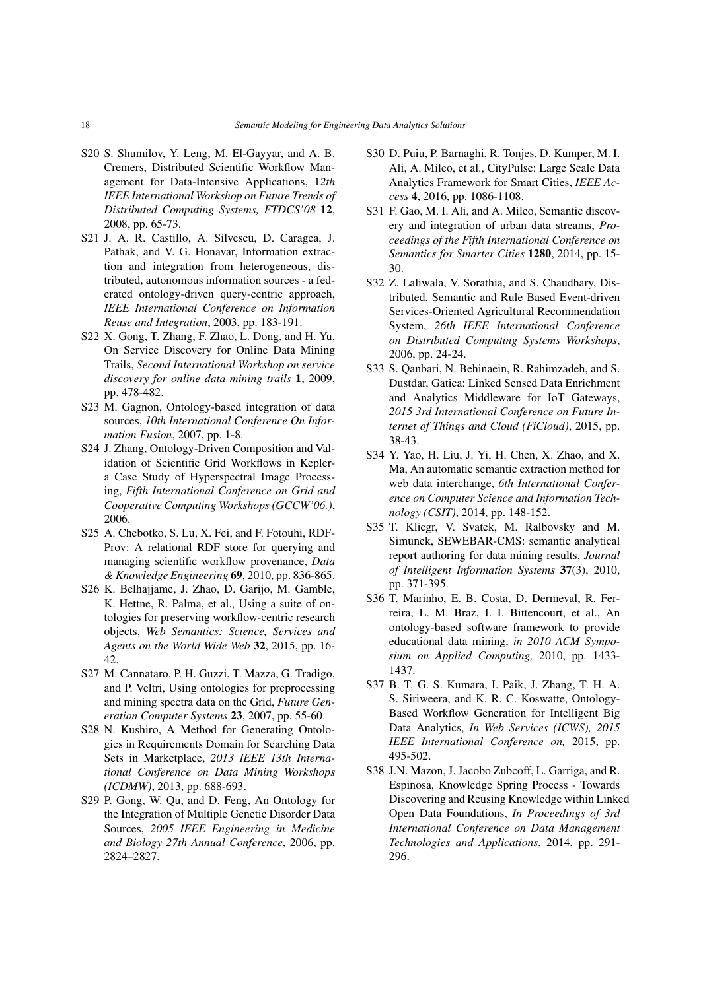- <span id="page-17-1"></span>S20 S. Shumilov, Y. Leng, M. El-Gayyar, and A. B. Cremers, Distributed Scientific Workflow Management for Data-Intensive Applications, 1*2th IEEE International Workshop on Future Trends of Distributed Computing Systems, FTDCS'08* 12, 2008, pp. 65-73.
- <span id="page-17-13"></span>S21 J. A. R. Castillo, A. Silvescu, D. Caragea, J. Pathak, and V. G. Honavar, Information extraction and integration from heterogeneous, distributed, autonomous information sources - a federated ontology-driven query-centric approach, *IEEE International Conference on Information Reuse and Integration*, 2003, pp. 183-191.
- <span id="page-17-7"></span>S22 X. Gong, T. Zhang, F. Zhao, L. Dong, and H. Yu, On Service Discovery for Online Data Mining Trails, *Second International Workshop on service discovery for online data mining trails* 1, 2009, pp. 478-482.
- <span id="page-17-14"></span>S23 M. Gagnon, Ontology-based integration of data sources, *10th International Conference On Information Fusion*, 2007, pp. 1-8.
- <span id="page-17-6"></span>S24 J. Zhang, Ontology-Driven Composition and Validation of Scientific Grid Workflows in Keplera Case Study of Hyperspectral Image Processing, *Fifth International Conference on Grid and Cooperative Computing Workshops (GCCW'06.)*, 2006.
- <span id="page-17-17"></span>S25 A. Chebotko, S. Lu, X. Fei, and F. Fotouhi, RDF-Prov: A relational RDF store for querying and managing scientific workflow provenance, *Data & Knowledge Engineering* 69, 2010, pp. 836-865.
- <span id="page-17-16"></span>S26 K. Belhajjame, J. Zhao, D. Garijo, M. Gamble, K. Hettne, R. Palma, et al., Using a suite of ontologies for preserving workflow-centric research objects, *Web Semantics: Science, Services and Agents on the World Wide Web* 32, 2015, pp. 16- 42.
- <span id="page-17-2"></span>S27 M. Cannataro, P. H. Guzzi, T. Mazza, G. Tradigo, and P. Veltri, Using ontologies for preprocessing and mining spectra data on the Grid, *Future Generation Computer Systems* 23, 2007, pp. 55-60.
- <span id="page-17-18"></span>S28 N. Kushiro, A Method for Generating Ontologies in Requirements Domain for Searching Data Sets in Marketplace, *2013 IEEE 13th International Conference on Data Mining Workshops (ICDMW)*, 2013, pp. 688-693.
- <span id="page-17-8"></span>S29 P. Gong, W. Qu, and D. Feng, An Ontology for the Integration of Multiple Genetic Disorder Data Sources, *2005 IEEE Engineering in Medicine and Biology 27th Annual Conference*, 2006, pp. 2824–2827.
- <span id="page-17-9"></span>S30 D. Puiu, P. Barnaghi, R. Tonjes, D. Kumper, M. I. Ali, A. Mileo, et al., CityPulse: Large Scale Data Analytics Framework for Smart Cities, *IEEE Access* 4, 2016, pp. 1086-1108.
- <span id="page-17-10"></span>S31 F. Gao, M. I. Ali, and A. Mileo, Semantic discovery and integration of urban data streams, *Proceedings of the Fifth International Conference on Semantics for Smarter Cities* 1280, 2014, pp. 15- 30.
- <span id="page-17-12"></span>S32 Z. Laliwala, V. Sorathia, and S. Chaudhary, Distributed, Semantic and Rule Based Event-driven Services-Oriented Agricultural Recommendation System, *26th IEEE International Conference on Distributed Computing Systems Workshops*, 2006, pp. 24-24.
- <span id="page-17-11"></span>S33 S. Qanbari, N. Behinaein, R. Rahimzadeh, and S. Dustdar, Gatica: Linked Sensed Data Enrichment and Analytics Middleware for IoT Gateways, *2015 3rd International Conference on Future Internet of Things and Cloud (FiCloud)*, 2015, pp. 38-43.
- <span id="page-17-15"></span>S34 Y. Yao, H. Liu, J. Yi, H. Chen, X. Zhao, and X. Ma, An automatic semantic extraction method for web data interchange, *6th International Conference on Computer Science and Information Technology (CSIT)*, 2014, pp. 148-152.
- <span id="page-17-0"></span>S35 T. Kliegr, V. Svatek, M. Ralbovsky and M. Simunek, SEWEBAR-CMS: semantic analytical report authoring for data mining results, *Journal of Intelligent Information Systems* 37(3), 2010, pp. 371-395.
- <span id="page-17-4"></span>S36 T. Marinho, E. B. Costa, D. Dermeval, R. Ferreira, L. M. Braz, I. I. Bittencourt, et al., An ontology-based software framework to provide educational data mining, *in 2010 ACM Symposium on Applied Computing,* 2010, pp. 1433- 1437.
- <span id="page-17-3"></span>S37 B. T. G. S. Kumara, I. Paik, J. Zhang, T. H. A. S. Siriweera, and K. R. C. Koswatte, Ontology-Based Workflow Generation for Intelligent Big Data Analytics, *In Web Services (ICWS), 2015 IEEE International Conference on,* 2015, pp. 495-502.
- <span id="page-17-5"></span>S38 J.N. Mazon, J. Jacobo Zubcoff, L. Garriga, and R. Espinosa, Knowledge Spring Process - Towards Discovering and Reusing Knowledge within Linked Open Data Foundations, *In Proceedings of 3rd International Conference on Data Management Technologies and Applications*, 2014, pp. 291- 296.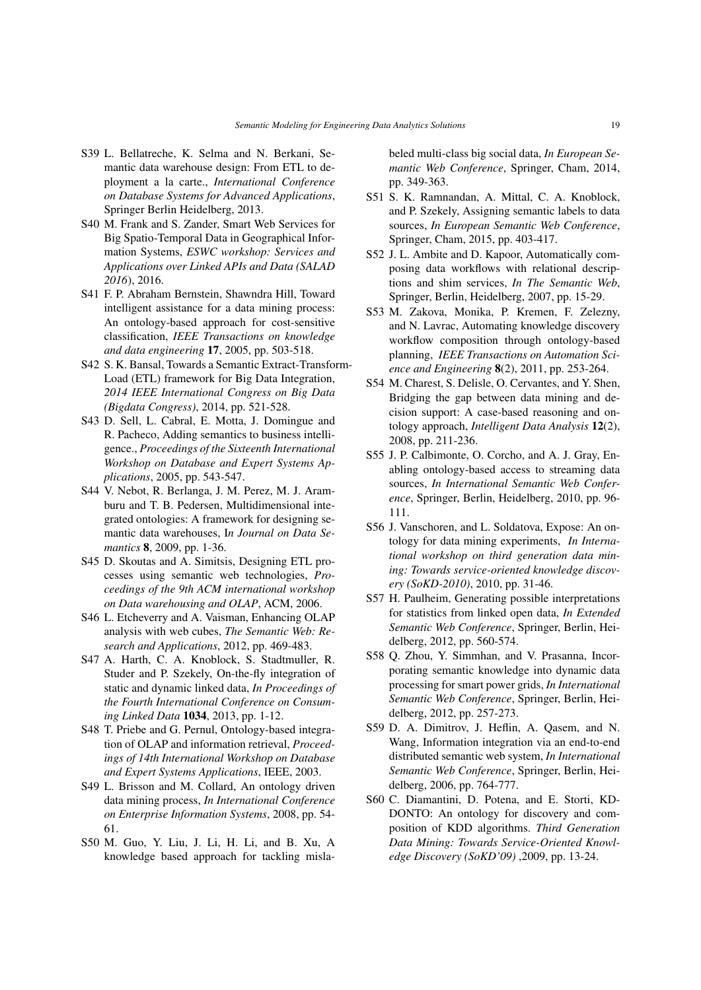- <span id="page-18-10"></span>S39 L. Bellatreche, K. Selma and N. Berkani, Semantic data warehouse design: From ETL to deployment a la carte., *International Conference on Database Systems for Advanced Applications*, Springer Berlin Heidelberg, 2013.
- <span id="page-18-7"></span>S40 M. Frank and S. Zander, Smart Web Services for Big Spatio-Temporal Data in Geographical Information Systems, *ESWC workshop: Services and Applications over Linked APIs and Data (SALAD 2016*), 2016.
- <span id="page-18-0"></span>S41 F. P. Abraham Bernstein, Shawndra Hill, Toward intelligent assistance for a data mining process: An ontology-based approach for cost-sensitive classification, *IEEE Transactions on knowledge and data engineering* 17, 2005, pp. 503-518.
- <span id="page-18-11"></span>S42 S. K. Bansal, Towards a Semantic Extract-Transform-Load (ETL) framework for Big Data Integration, *2014 IEEE International Congress on Big Data (Bigdata Congress)*, 2014, pp. 521-528.
- <span id="page-18-12"></span>S43 D. Sell, L. Cabral, E. Motta, J. Domingue and R. Pacheco, Adding semantics to business intelligence., *Proceedings of the Sixteenth International Workshop on Database and Expert Systems Applications*, 2005, pp. 543-547.
- <span id="page-18-13"></span>S44 V. Nebot, R. Berlanga, J. M. Perez, M. J. Aramburu and T. B. Pedersen, Multidimensional integrated ontologies: A framework for designing semantic data warehouses, I*n Journal on Data Semantics* 8, 2009, pp. 1-36.
- <span id="page-18-14"></span>S45 D. Skoutas and A. Simitsis, Designing ETL processes using semantic web technologies, *Proceedings of the 9th ACM international workshop on Data warehousing and OLAP*, ACM, 2006.
- <span id="page-18-21"></span>S46 L. Etcheverry and A. Vaisman, Enhancing OLAP analysis with web cubes, *The Semantic Web: Research and Applications*, 2012, pp. 469-483.
- <span id="page-18-15"></span>S47 A. Harth, C. A. Knoblock, S. Stadtmuller, R. Studer and P. Szekely, On-the-fly integration of static and dynamic linked data, *In Proceedings of the Fourth International Conference on Consuming Linked Data* 1034, 2013, pp. 1-12.
- <span id="page-18-16"></span>S48 T. Priebe and G. Pernul, Ontology-based integration of OLAP and information retrieval, *Proceedings of 14th International Workshop on Database and Expert Systems Applications*, IEEE, 2003.
- <span id="page-18-17"></span>S49 L. Brisson and M. Collard, An ontology driven data mining process, *In International Conference on Enterprise Information Systems*, 2008, pp. 54- 61.
- <span id="page-18-5"></span>S50 M. Guo, Y. Liu, J. Li, H. Li, and B. Xu, A knowledge based approach for tackling misla-

beled multi-class big social data, *In European Semantic Web Conference*, Springer, Cham, 2014, pp. 349-363.

- <span id="page-18-18"></span>S51 S. K. Ramnandan, A. Mittal, C. A. Knoblock, and P. Szekely, Assigning semantic labels to data sources, *In European Semantic Web Conference*, Springer, Cham, 2015, pp. 403-417.
- <span id="page-18-8"></span>S52 J. L. Ambite and D. Kapoor, Automatically composing data workflows with relational descriptions and shim services, *In The Semantic Web*, Springer, Berlin, Heidelberg, 2007, pp. 15-29.
- <span id="page-18-2"></span>S53 M. Zakova, Monika, P. Kremen, F. Zelezny, and N. Lavrac, Automating knowledge discovery workflow composition through ontology-based planning, *IEEE Transactions on Automation Science and Engineering* 8(2), 2011, pp. 253-264.
- <span id="page-18-1"></span>S54 M. Charest, S. Delisle, O. Cervantes, and Y. Shen, Bridging the gap between data mining and decision support: A case-based reasoning and ontology approach, *Intelligent Data Analysis* 12(2), 2008, pp. 211-236.
- <span id="page-18-6"></span>S55 J. P. Calbimonte, O. Corcho, and A. J. Gray, Enabling ontology-based access to streaming data sources, *In International Semantic Web Conference*, Springer, Berlin, Heidelberg, 2010, pp. 96- 111.
- <span id="page-18-4"></span>S56 J. Vanschoren, and L. Soldatova, Expose: An ontology for data mining experiments, *In International workshop on third generation data mining: Towards service-oriented knowledge discovery (SoKD-2010)*, 2010, pp. 31-46.
- <span id="page-18-19"></span>S57 H. Paulheim, Generating possible interpretations for statistics from linked open data, *In Extended Semantic Web Conference*, Springer, Berlin, Heidelberg, 2012, pp. 560-574.
- <span id="page-18-9"></span>S58 Q. Zhou, Y. Simmhan, and V. Prasanna, Incorporating semantic knowledge into dynamic data processing for smart power grids, *In International Semantic Web Conference*, Springer, Berlin, Heidelberg, 2012, pp. 257-273.
- <span id="page-18-20"></span>S59 D. A. Dimitrov, J. Heflin, A. Qasem, and N. Wang, Information integration via an end-to-end distributed semantic web system, *In International Semantic Web Conference*, Springer, Berlin, Heidelberg, 2006, pp. 764-777.
- <span id="page-18-3"></span>S60 C. Diamantini, D. Potena, and E. Storti, KD-DONTO: An ontology for discovery and composition of KDD algorithms. *Third Generation Data Mining: Towards Service-Oriented Knowledge Discovery (SoKD'09)* ,2009, pp. 13-24.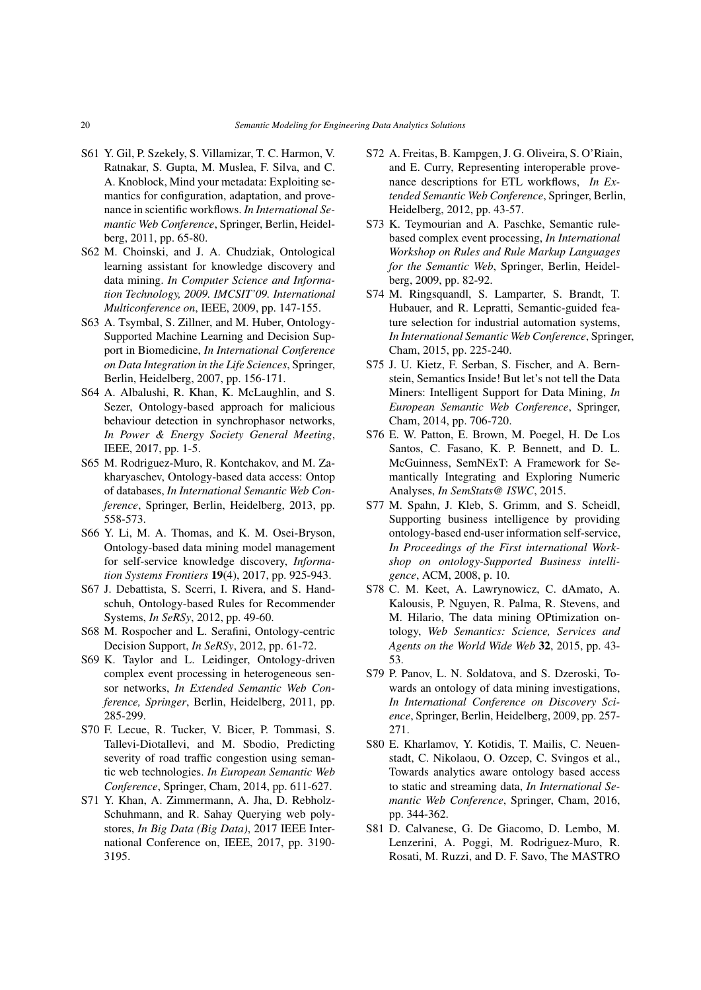- <span id="page-19-13"></span>S61 Y. Gil, P. Szekely, S. Villamizar, T. C. Harmon, V. Ratnakar, S. Gupta, M. Muslea, F. Silva, and C. A. Knoblock, Mind your metadata: Exploiting semantics for configuration, adaptation, and provenance in scientific workflows. *In International Semantic Web Conference*, Springer, Berlin, Heidelberg, 2011, pp. 65-80.
- <span id="page-19-1"></span>S62 M. Choinski, and J. A. Chudziak, Ontological learning assistant for knowledge discovery and data mining. *In Computer Science and Information Technology, 2009. IMCSIT'09. International Multiconference on*, IEEE, 2009, pp. 147-155.
- <span id="page-19-7"></span>S63 A. Tsymbal, S. Zillner, and M. Huber, Ontology-Supported Machine Learning and Decision Support in Biomedicine, *In International Conference on Data Integration in the Life Sciences*, Springer, Berlin, Heidelberg, 2007, pp. 156-171.
- <span id="page-19-12"></span>S64 A. Albalushi, R. Khan, K. McLaughlin, and S. Sezer, Ontology-based approach for malicious behaviour detection in synchrophasor networks, *In Power & Energy Society General Meeting*, IEEE, 2017, pp. 1-5.
- <span id="page-19-14"></span>S65 M. Rodriguez-Muro, R. Kontchakov, and M. Zakharyaschev, Ontology-based data access: Ontop of databases, *In International Semantic Web Conference*, Springer, Berlin, Heidelberg, 2013, pp. 558-573.
- <span id="page-19-2"></span>S66 Y. Li, M. A. Thomas, and K. M. Osei-Bryson, Ontology-based data mining model management for self-service knowledge discovery, *Information Systems Frontiers* 19(4), 2017, pp. 925-943.
- <span id="page-19-9"></span>S67 J. Debattista, S. Scerri, I. Rivera, and S. Handschuh, Ontology-based Rules for Recommender Systems, *In SeRSy*, 2012, pp. 49-60.
- <span id="page-19-15"></span>S68 M. Rospocher and L. Serafini, Ontology-centric Decision Support, *In SeRSy*, 2012, pp. 61-72.
- <span id="page-19-10"></span>S69 K. Taylor and L. Leidinger, Ontology-driven complex event processing in heterogeneous sensor networks, *In Extended Semantic Web Conference, Springer*, Berlin, Heidelberg, 2011, pp. 285-299.
- <span id="page-19-11"></span>S70 F. Lecue, R. Tucker, V. Bicer, P. Tommasi, S. Tallevi-Diotallevi, and M. Sbodio, Predicting severity of road traffic congestion using semantic web technologies. *In European Semantic Web Conference*, Springer, Cham, 2014, pp. 611-627.
- <span id="page-19-20"></span>S71 Y. Khan, A. Zimmermann, A. Jha, D. Rebholz-Schuhmann, and R. Sahay Querying web polystores, *In Big Data (Big Data)*, 2017 IEEE International Conference on, IEEE, 2017, pp. 3190- 3195.
- <span id="page-19-16"></span>S72 A. Freitas, B. Kampgen, J. G. Oliveira, S. O'Riain, and E. Curry, Representing interoperable provenance descriptions for ETL workflows, *In Extended Semantic Web Conference*, Springer, Berlin, Heidelberg, 2012, pp. 43-57.
- <span id="page-19-17"></span>S73 K. Teymourian and A. Paschke, Semantic rulebased complex event processing, *In International Workshop on Rules and Rule Markup Languages for the Semantic Web*, Springer, Berlin, Heidelberg, 2009, pp. 82-92.
- <span id="page-19-8"></span>S74 M. Ringsquandl, S. Lamparter, S. Brandt, T. Hubauer, and R. Lepratti, Semantic-guided feature selection for industrial automation systems, *In International Semantic Web Conference*, Springer, Cham, 2015, pp. 225-240.
- <span id="page-19-3"></span>S75 J. U. Kietz, F. Serban, S. Fischer, and A. Bernstein, Semantics Inside! But let's not tell the Data Miners: Intelligent Support for Data Mining, *In European Semantic Web Conference*, Springer, Cham, 2014, pp. 706-720.
- <span id="page-19-4"></span>S76 E. W. Patton, E. Brown, M. Poegel, H. De Los Santos, C. Fasano, K. P. Bennett, and D. L. McGuinness, SemNExT: A Framework for Semantically Integrating and Exploring Numeric Analyses, *In SemStats@ ISWC*, 2015.
- <span id="page-19-18"></span>S77 M. Spahn, J. Kleb, S. Grimm, and S. Scheidl, Supporting business intelligence by providing ontology-based end-user information self-service, *In Proceedings of the First international Workshop on ontology-Supported Business intelligence*, ACM, 2008, p. 10.
- <span id="page-19-5"></span>S78 C. M. Keet, A. Lawrynowicz, C. dAmato, A. Kalousis, P. Nguyen, R. Palma, R. Stevens, and M. Hilario, The data mining OPtimization ontology, *Web Semantics: Science, Services and Agents on the World Wide Web* 32, 2015, pp. 43- 53.
- <span id="page-19-6"></span>S79 P. Panov, L. N. Soldatova, and S. Dzeroski, Towards an ontology of data mining investigations, *In International Conference on Discovery Science*, Springer, Berlin, Heidelberg, 2009, pp. 257- 271.
- <span id="page-19-0"></span>S80 E. Kharlamov, Y. Kotidis, T. Mailis, C. Neuenstadt, C. Nikolaou, O. Ozcep, C. Svingos et al., Towards analytics aware ontology based access to static and streaming data, *In International Semantic Web Conference*, Springer, Cham, 2016, pp. 344-362.
- <span id="page-19-19"></span>S81 D. Calvanese, G. De Giacomo, D. Lembo, M. Lenzerini, A. Poggi, M. Rodriguez-Muro, R. Rosati, M. Ruzzi, and D. F. Savo, The MASTRO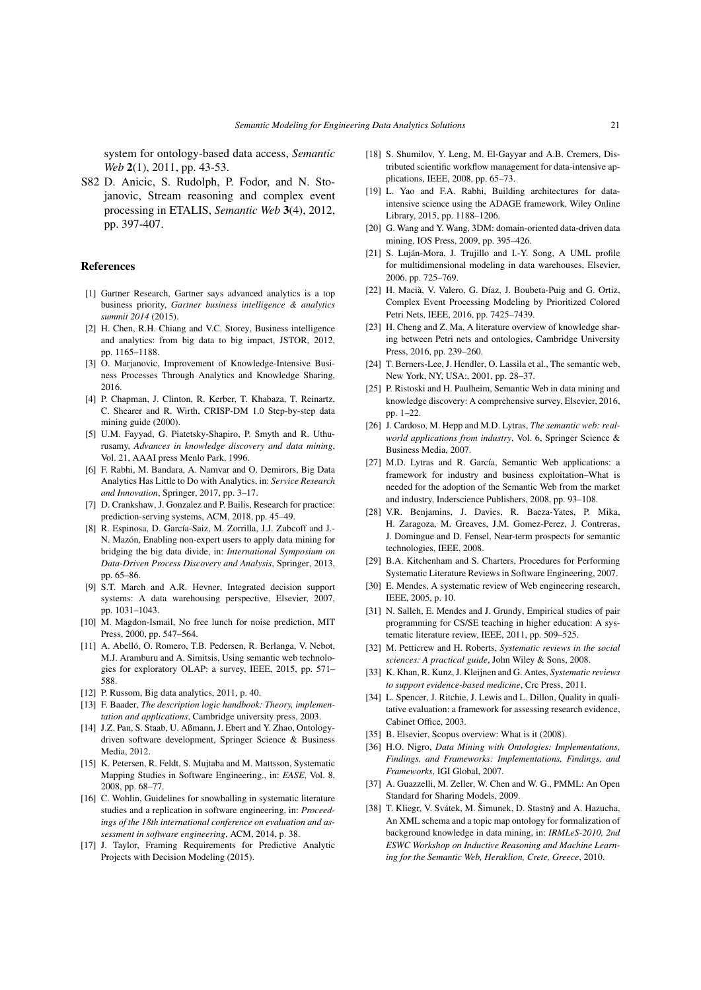system for ontology-based data access, *Semantic Web* 2(1), 2011, pp. 43-53.

<span id="page-20-36"></span>S82 D. Anicic, S. Rudolph, P. Fodor, and N. Stojanovic, Stream reasoning and complex event processing in ETALIS, *Semantic Web* 3(4), 2012, pp. 397-407.

## References

- <span id="page-20-0"></span>[1] Gartner Research, Gartner says advanced analytics is a top business priority, *Gartner business intelligence & analytics summit 2014* (2015).
- <span id="page-20-1"></span>[2] H. Chen, R.H. Chiang and V.C. Storey, Business intelligence and analytics: from big data to big impact, JSTOR, 2012, pp. 1165–1188.
- <span id="page-20-2"></span>[3] O. Marianovic, Improvement of Knowledge-Intensive Business Processes Through Analytics and Knowledge Sharing, 2016.
- <span id="page-20-3"></span>[4] P. Chapman, J. Clinton, R. Kerber, T. Khabaza, T. Reinartz, C. Shearer and R. Wirth, CRISP-DM 1.0 Step-by-step data mining guide (2000).
- <span id="page-20-4"></span>[5] U.M. Fayyad, G. Piatetsky-Shapiro, P. Smyth and R. Uthurusamy, *Advances in knowledge discovery and data mining*, Vol. 21, AAAI press Menlo Park, 1996.
- <span id="page-20-5"></span>[6] F. Rabhi, M. Bandara, A. Namvar and O. Demirors, Big Data Analytics Has Little to Do with Analytics, in: *Service Research and Innovation*, Springer, 2017, pp. 3–17.
- <span id="page-20-6"></span>[7] D. Crankshaw, J. Gonzalez and P. Bailis, Research for practice: prediction-serving systems, ACM, 2018, pp. 45–49.
- <span id="page-20-7"></span>[8] R. Espinosa, D. García-Saiz, M. Zorrilla, J.J. Zubcoff and J.- N. Mazón, Enabling non-expert users to apply data mining for bridging the big data divide, in: *International Symposium on Data-Driven Process Discovery and Analysis*, Springer, 2013, pp. 65–86.
- <span id="page-20-8"></span>[9] S.T. March and A.R. Hevner, Integrated decision support systems: A data warehousing perspective, Elsevier, 2007, pp. 1031–1043.
- <span id="page-20-9"></span>[10] M. Magdon-Ismail, No free lunch for noise prediction, MIT Press, 2000, pp. 547–564.
- <span id="page-20-10"></span>[11] A. Abelló, O. Romero, T.B. Pedersen, R. Berlanga, V. Nebot, M.J. Aramburu and A. Simitsis, Using semantic web technologies for exploratory OLAP: a survey, IEEE, 2015, pp. 571– 588.
- <span id="page-20-11"></span>[12] P. Russom, Big data analytics, 2011, p. 40.
- <span id="page-20-12"></span>[13] F. Baader, *The description logic handbook: Theory, implementation and applications*, Cambridge university press, 2003.
- <span id="page-20-13"></span>[14] J.Z. Pan, S. Staab, U. Aßmann, J. Ebert and Y. Zhao, Ontologydriven software development, Springer Science & Business Media, 2012.
- <span id="page-20-14"></span>[15] K. Petersen, R. Feldt, S. Mujtaba and M. Mattsson, Systematic Mapping Studies in Software Engineering., in: *EASE*, Vol. 8, 2008, pp. 68–77.
- <span id="page-20-15"></span>[16] C. Wohlin, Guidelines for snowballing in systematic literature studies and a replication in software engineering, in: *Proceedings of the 18th international conference on evaluation and assessment in software engineering*, ACM, 2014, p. 38.
- <span id="page-20-16"></span>[17] J. Taylor, Framing Requirements for Predictive Analytic Projects with Decision Modeling (2015).
- <span id="page-20-17"></span>[18] S. Shumilov, Y. Leng, M. El-Gayyar and A.B. Cremers, Distributed scientific workflow management for data-intensive applications, IEEE, 2008, pp. 65–73.
- <span id="page-20-18"></span>[19] L. Yao and F.A. Rabhi, Building architectures for dataintensive science using the ADAGE framework, Wiley Online Library, 2015, pp. 1188–1206.
- <span id="page-20-19"></span>[20] G. Wang and Y. Wang, 3DM: domain-oriented data-driven data mining, IOS Press, 2009, pp. 395–426.
- <span id="page-20-20"></span>[21] S. Luján-Mora, J. Trujillo and I.-Y. Song, A UML profile for multidimensional modeling in data warehouses, Elsevier, 2006, pp. 725–769.
- <span id="page-20-21"></span>[22] H. Macià, V. Valero, G. Díaz, J. Boubeta-Puig and G. Ortiz, Complex Event Processing Modeling by Prioritized Colored Petri Nets, IEEE, 2016, pp. 7425–7439.
- <span id="page-20-22"></span>[23] H. Cheng and Z. Ma, A literature overview of knowledge sharing between Petri nets and ontologies, Cambridge University Press, 2016, pp. 239–260.
- <span id="page-20-23"></span>[24] T. Berners-Lee, J. Hendler, O. Lassila et al., The semantic web, New York, NY, USA:, 2001, pp. 28–37.
- <span id="page-20-24"></span>[25] P. Ristoski and H. Paulheim, Semantic Web in data mining and knowledge discovery: A comprehensive survey, Elsevier, 2016, pp. 1–22.
- <span id="page-20-25"></span>[26] J. Cardoso, M. Hepp and M.D. Lytras, *The semantic web: realworld applications from industry*, Vol. 6, Springer Science & Business Media, 2007.
- [27] M.D. Lytras and R. García, Semantic Web applications: a framework for industry and business exploitation–What is needed for the adoption of the Semantic Web from the market and industry, Inderscience Publishers, 2008, pp. 93–108.
- <span id="page-20-26"></span>[28] V.R. Benjamins, J. Davies, R. Baeza-Yates, P. Mika, H. Zaragoza, M. Greaves, J.M. Gomez-Perez, J. Contreras, J. Domingue and D. Fensel, Near-term prospects for semantic technologies, IEEE, 2008.
- <span id="page-20-27"></span>[29] B.A. Kitchenham and S. Charters, Procedures for Performing Systematic Literature Reviews in Software Engineering, 2007.
- [30] E. Mendes, A systematic review of Web engineering research, IEEE, 2005, p. 10.
- <span id="page-20-28"></span>[31] N. Salleh, E. Mendes and J. Grundy, Empirical studies of pair programming for CS/SE teaching in higher education: A systematic literature review, IEEE, 2011, pp. 509–525.
- <span id="page-20-29"></span>[32] M. Petticrew and H. Roberts, *Systematic reviews in the social sciences: A practical guide*, John Wiley & Sons, 2008.
- <span id="page-20-30"></span>[33] K. Khan, R. Kunz, J. Kleijnen and G. Antes, *Systematic reviews to support evidence-based medicine*, Crc Press, 2011.
- <span id="page-20-31"></span>[34] L. Spencer, J. Ritchie, J. Lewis and L. Dillon, Quality in qualitative evaluation: a framework for assessing research evidence, Cabinet Office, 2003.
- <span id="page-20-32"></span>[35] B. Elsevier, Scopus overview: What is it (2008).
- <span id="page-20-33"></span>[36] H.O. Nigro, *Data Mining with Ontologies: Implementations, Findings, and Frameworks: Implementations, Findings, and Frameworks*, IGI Global, 2007.
- <span id="page-20-34"></span>[37] A. Guazzelli, M. Zeller, W. Chen and W. G., PMML: An Open Standard for Sharing Models, 2009.
- <span id="page-20-35"></span>[38] T. Kliegr, V. Svátek, M. Šimunek, D. Stastnỳ and A. Hazucha, An XML schema and a topic map ontology for formalization of background knowledge in data mining, in: *IRMLeS-2010, 2nd ESWC Workshop on Inductive Reasoning and Machine Learning for the Semantic Web, Heraklion, Crete, Greece*, 2010.